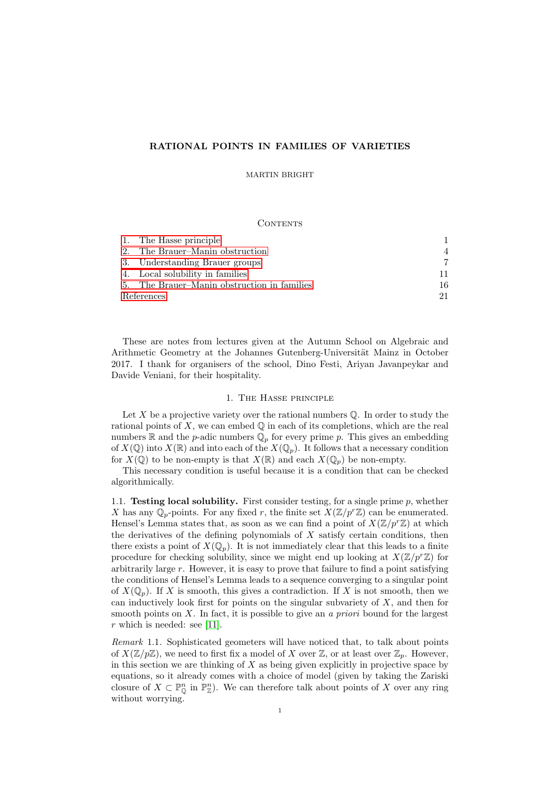# RATIONAL POINTS IN FAMILIES OF VARIETIES

MARTIN BRIGHT

#### CONTENTS

|            | 1. The Hasse principle                      |                |
|------------|---------------------------------------------|----------------|
|            | 2. The Brauer–Manin obstruction             | $\overline{4}$ |
|            | 3. Understanding Brauer groups              |                |
|            | 4. Local solubility in families             | 11             |
|            | 5. The Brauer–Manin obstruction in families | 16             |
| References |                                             | 21             |

These are notes from lectures given at the Autumn School on Algebraic and Arithmetic Geometry at the Johannes Gutenberg-Universität Mainz in October 2017. I thank for organisers of the school, Dino Festi, Ariyan Javanpeykar and Davide Veniani, for their hospitality.

# 1. The Hasse principle

<span id="page-0-0"></span>Let  $X$  be a projective variety over the rational numbers  $\mathbb Q$ . In order to study the rational points of  $X$ , we can embed  $\mathbb Q$  in each of its completions, which are the real numbers  $\mathbb R$  and the *p*-adic numbers  $\mathbb Q_p$  for every prime *p*. This gives an embedding of  $X(\mathbb{Q})$  into  $X(\mathbb{R})$  and into each of the  $X(\mathbb{Q}_p)$ . It follows that a necessary condition for  $X(\mathbb{Q})$  to be non-empty is that  $X(\mathbb{R})$  and each  $X(\mathbb{Q}_p)$  be non-empty.

This necessary condition is useful because it is a condition that can be checked algorithmically.

1.1. Testing local solubility. First consider testing, for a single prime  $p$ , whether X has any  $\mathbb{Q}_p$ -points. For any fixed r, the finite set  $X(\mathbb{Z}/p^r\mathbb{Z})$  can be enumerated. Hensel's Lemma states that, as soon as we can find a point of  $X(\mathbb{Z}/p^r\mathbb{Z})$  at which the derivatives of the defining polynomials of  $X$  satisfy certain conditions, then there exists a point of  $X(\mathbb{Q}_p)$ . It is not immediately clear that this leads to a finite procedure for checking solubility, since we might end up looking at  $X(\mathbb{Z}/p^r\mathbb{Z})$  for arbitrarily large r. However, it is easy to prove that failure to find a point satisfying the conditions of Hensel's Lemma leads to a sequence converging to a singular point of  $X(\mathbb{Q}_p)$ . If X is smooth, this gives a contradiction. If X is not smooth, then we can inductively look first for points on the singular subvariety of  $X$ , and then for smooth points on  $X$ . In fact, it is possible to give an a priori bound for the largest  $r$  which is needed: see [\[11\]](#page-20-1).

Remark 1.1. Sophisticated geometers will have noticed that, to talk about points of  $X(\mathbb{Z}/p\mathbb{Z})$ , we need to first fix a model of X over  $\mathbb{Z}$ , or at least over  $\mathbb{Z}_p$ . However, in this section we are thinking of  $X$  as being given explicitly in projective space by equations, so it already comes with a choice of model (given by taking the Zariski closure of  $X \subset \mathbb{P}_{\mathbb{Q}}^n$  in  $\mathbb{P}_{\mathbb{Z}}^n$ . We can therefore talk about points of X over any ring without worrying.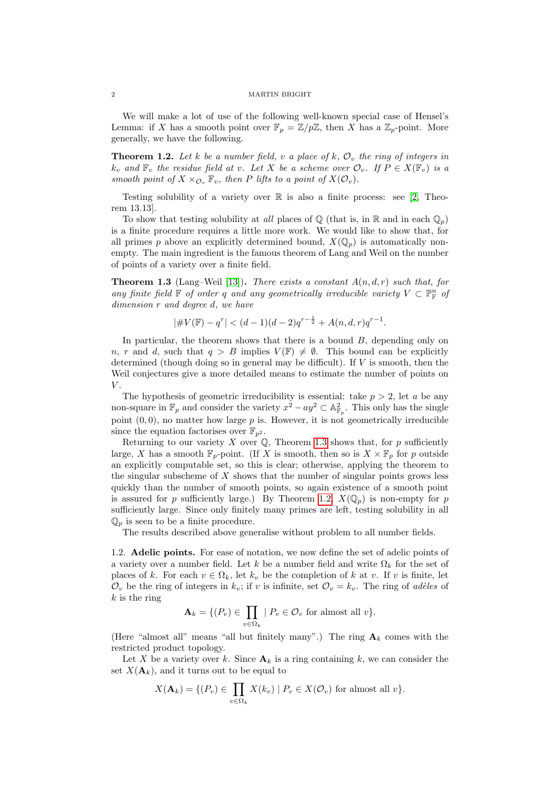We will make a lot of use of the following well-known special case of Hensel's Lemma: if X has a smooth point over  $\mathbb{F}_p = \mathbb{Z}/p\mathbb{Z}$ , then X has a  $\mathbb{Z}_p$ -point. More generally, we have the following.

<span id="page-1-1"></span>**Theorem 1.2.** Let k be a number field, v a place of k,  $\mathcal{O}_v$  the ring of integers in  $k_v$  and  $\mathbb{F}_v$  the residue field at v. Let X be a scheme over  $\mathcal{O}_v$ . If  $P \in X(\mathbb{F}_v)$  is a smooth point of  $X \times_{\mathcal{O}_v} \mathbb{F}_v$ , then P lifts to a point of  $X(\mathcal{O}_v)$ .

Testing solubility of a variety over  $\mathbb R$  is also a finite process: see [\[2,](#page-20-2) Theorem 13.13].

To show that testing solubility at all places of  $\mathbb Q$  (that is, in  $\mathbb R$  and in each  $\mathbb Q_p$ ) is a finite procedure requires a little more work. We would like to show that, for all primes p above an explicitly determined bound,  $X(\mathbb{Q}_p)$  is automatically nonempty. The main ingredient is the famous theorem of Lang and Weil on the number of points of a variety over a finite field.

<span id="page-1-0"></span>**Theorem 1.3** (Lang–Weil [\[13\]](#page-20-3)). There exists a constant  $A(n, d, r)$  such that, for any finite field  $\mathbb F$  of order q and any geometrically irreducible variety  $V \subset \mathbb P^n_{\mathbb F}$  of dimension r and degree d, we have

$$
|\# V(\mathbb{F}) - q^r| < (d-1)(d-2)q^{r-\frac{1}{2}} + A(n, d, r)q^{r-1}.
$$

In particular, the theorem shows that there is a bound  $B$ , depending only on n, r and d, such that  $q > B$  implies  $V(\mathbb{F}) \neq \emptyset$ . This bound can be explicitly determined (though doing so in general may be difficult). If  $V$  is smooth, then the Weil conjectures give a more detailed means to estimate the number of points on  $V$ .

The hypothesis of geometric irreducibility is essential: take  $p > 2$ , let a be any non-square in  $\mathbb{F}_p$  and consider the variety  $x^2 - ay^2 \subset \mathbb{A}^2_{\mathbb{F}_p}$ . This only has the single point  $(0, 0)$ , no matter how large  $p$  is. However, it is not geometrically irreducible since the equation factorises over  $\mathbb{F}_{n^2}$ .

Returning to our variety  $X$  over  $\mathbb{Q}$ , Theorem [1.3](#page-1-0) shows that, for  $p$  sufficiently large, X has a smooth  $\mathbb{F}_p$ -point. (If X is smooth, then so is  $X \times \mathbb{F}_p$  for p outside an explicitly computable set, so this is clear; otherwise, applying the theorem to the singular subscheme of  $X$  shows that the number of singular points grows less quickly than the number of smooth points, so again existence of a smooth point is assured for p sufficiently large.) By Theorem [1.2,](#page-1-1)  $X(\mathbb{Q}_n)$  is non-empty for p sufficiently large. Since only finitely many primes are left, testing solubility in all  $\mathbb{Q}_p$  is seen to be a finite procedure.

The results described above generalise without problem to all number fields.

1.2. Adelic points. For ease of notation, we now define the set of adelic points of a variety over a number field. Let k be a number field and write  $\Omega_k$  for the set of places of k. For each  $v \in \Omega_k$ , let  $k_v$  be the completion of k at v. If v is finite, let  $\mathcal{O}_v$  be the ring of integers in  $k_v$ ; if v is infinite, set  $\mathcal{O}_v = k_v$ . The ring of adèles of  $k$  is the ring

$$
\mathbf{A}_k = \{ (P_v) \in \prod_{v \in \Omega_k} \mid P_v \in \mathcal{O}_v \text{ for almost all } v \}.
$$

(Here "almost all" means "all but finitely many".) The ring  $A_k$  comes with the restricted product topology.

Let X be a variety over k. Since  $A_k$  is a ring containing k, we can consider the set  $X(\mathbf{A}_k)$ , and it turns out to be equal to

$$
X(\mathbf{A}_k) = \{ (P_v) \in \prod_{v \in \Omega_k} X(k_v) \mid P_v \in X(\mathcal{O}_v) \text{ for almost all } v \}.
$$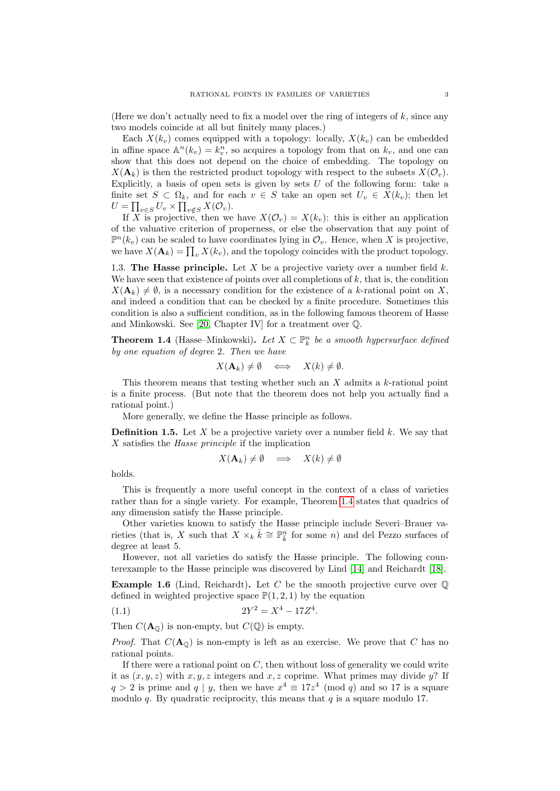(Here we don't actually need to fix a model over the ring of integers of  $k$ , since any two models coincide at all but finitely many places.)

Each  $X(k_v)$  comes equipped with a topology: locally,  $X(k_v)$  can be embedded in affine space  $\mathbb{A}^n(k_v) = k_v^n$ , so acquires a topology from that on  $k_v$ , and one can show that this does not depend on the choice of embedding. The topology on  $X(\mathbf{A}_k)$  is then the restricted product topology with respect to the subsets  $X(\mathcal{O}_v)$ . Explicitly, a basis of open sets is given by sets  $U$  of the following form: take a finite set  $S \subset \Omega_k$ , and for each  $v \in S$  take an open set  $U_v \in X(k_v)$ ; then let  $U = \prod_{v \in S} U_v \times \prod_{v \notin S} X(\mathcal{O}_v).$ 

If X is projective, then we have  $X(\mathcal{O}_v) = X(k_v)$ : this is either an application of the valuative criterion of properness, or else the observation that any point of  $\mathbb{P}^{n}(k_v)$  can be scaled to have coordinates lying in  $\mathcal{O}_v$ . Hence, when X is projective, we have  $X(\mathbf{A}_k) = \prod_v X(k_v)$ , and the topology coincides with the product topology.

1.3. The Hasse principle. Let X be a projective variety over a number field  $k$ . We have seen that existence of points over all completions of  $k$ , that is, the condition  $X(\mathbf{A}_k) \neq \emptyset$ , is a necessary condition for the existence of a k-rational point on X, and indeed a condition that can be checked by a finite procedure. Sometimes this condition is also a sufficient condition, as in the following famous theorem of Hasse and Minkowski. See [\[20,](#page-20-4) Chapter IV] for a treatment over Q.

<span id="page-2-0"></span>**Theorem 1.4** (Hasse–Minkowski). Let  $X \subset \mathbb{P}_k^n$  be a smooth hypersurface defined by one equation of degree 2. Then we have

$$
X(\mathbf{A}_k) \neq \emptyset \quad \Longleftrightarrow \quad X(k) \neq \emptyset.
$$

This theorem means that testing whether such an  $X$  admits a  $k$ -rational point is a finite process. (But note that the theorem does not help you actually find a rational point.)

More generally, we define the Hasse principle as follows.

**Definition 1.5.** Let X be a projective variety over a number field k. We say that X satisfies the Hasse principle if the implication

$$
X(\mathbf{A}_k) \neq \emptyset \implies X(k) \neq \emptyset
$$

holds.

This is frequently a more useful concept in the context of a class of varieties rather than for a single variety. For example, Theorem [1.4](#page-2-0) states that quadrics of any dimension satisfy the Hasse principle.

Other varieties known to satisfy the Hasse principle include Severi–Brauer varieties (that is, X such that  $X \times_k \overline{k} \cong \mathbb{P}^n_{\overline{k}}$  for some n) and del Pezzo surfaces of degree at least 5.

However, not all varieties do satisfy the Hasse principle. The following counterexample to the Hasse principle was discovered by Lind [\[14\]](#page-20-5) and Reichardt [\[18\]](#page-20-6).

<span id="page-2-2"></span>**Example 1.6** (Lind, Reichardt). Let C be the smooth projective curve over  $\mathbb{Q}$ defined in weighted projective space  $\mathbb{P}(1, 2, 1)$  by the equation

<span id="page-2-1"></span>
$$
(1.1) \t\t 2Y^2 = X^4 - 17Z^4.
$$

Then  $C(\mathbf{A}_{\mathbb{Q}})$  is non-empty, but  $C(\mathbb{Q})$  is empty.

*Proof.* That  $C(\mathbf{A}_{\Omega})$  is non-empty is left as an exercise. We prove that C has no rational points.

If there were a rational point on  $C$ , then without loss of generality we could write it as  $(x, y, z)$  with  $x, y, z$  integers and  $x, z$  coprime. What primes may divide y? If  $q > 2$  is prime and  $q | y$ , then we have  $x^4 \equiv 17z^4 \pmod{q}$  and so 17 is a square modulo q. By quadratic reciprocity, this means that  $q$  is a square modulo 17.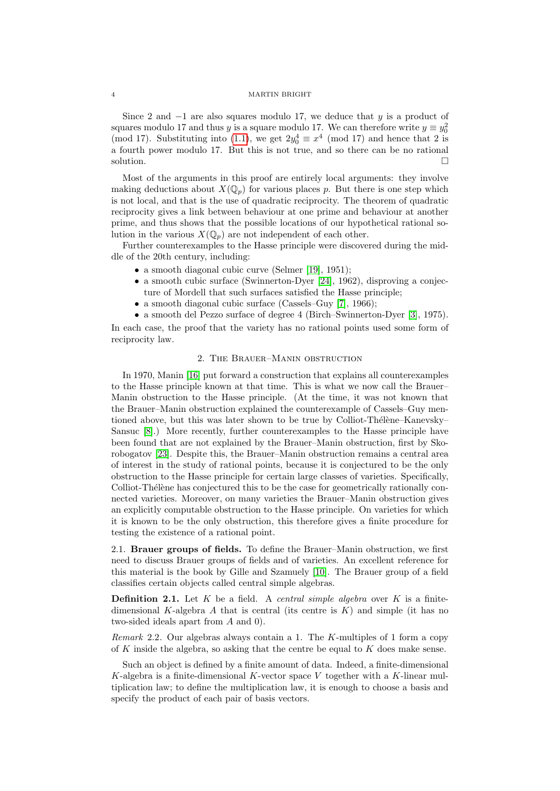Since 2 and  $-1$  are also squares modulo 17, we deduce that y is a product of squares modulo 17 and thus y is a square modulo 17. We can therefore write  $y \equiv y_0^2$ (mod 17). Substituting into [\(1.1\)](#page-2-1), we get  $2y_0^4 \equiv x^4 \pmod{17}$  and hence that 2 is a fourth power modulo 17. But this is not true, and so there can be no rational solution.

Most of the arguments in this proof are entirely local arguments: they involve making deductions about  $X(\mathbb{Q}_p)$  for various places p. But there is one step which is not local, and that is the use of quadratic reciprocity. The theorem of quadratic reciprocity gives a link between behaviour at one prime and behaviour at another prime, and thus shows that the possible locations of our hypothetical rational solution in the various  $X(\mathbb{Q}_p)$  are not independent of each other.

Further counterexamples to the Hasse principle were discovered during the middle of the 20th century, including:

- a smooth diagonal cubic curve (Selmer [\[19\]](#page-20-7), 1951);
- a smooth cubic surface (Swinnerton-Dyer [\[24\]](#page-20-8), 1962), disproving a conjecture of Mordell that such surfaces satisfied the Hasse principle;
- a smooth diagonal cubic surface (Cassels–Guy [\[7\]](#page-20-9), 1966);
- a smooth del Pezzo surface of degree 4 (Birch–Swinnerton-Dyer [\[3\]](#page-20-10), 1975).

In each case, the proof that the variety has no rational points used some form of reciprocity law.

# 2. The Brauer–Manin obstruction

<span id="page-3-0"></span>In 1970, Manin [\[16\]](#page-20-11) put forward a construction that explains all counterexamples to the Hasse principle known at that time. This is what we now call the Brauer– Manin obstruction to the Hasse principle. (At the time, it was not known that the Brauer–Manin obstruction explained the counterexample of Cassels–Guy mentioned above, but this was later shown to be true by Colliot-Thélène–Kanevsky– Sansuc [\[8\]](#page-20-12).) More recently, further counterexamples to the Hasse principle have been found that are not explained by the Brauer–Manin obstruction, first by Skorobogatov [\[23\]](#page-20-13). Despite this, the Brauer–Manin obstruction remains a central area of interest in the study of rational points, because it is conjectured to be the only obstruction to the Hasse principle for certain large classes of varieties. Specifically, Colliot-Thélène has conjectured this to be the case for geometrically rationally connected varieties. Moreover, on many varieties the Brauer–Manin obstruction gives an explicitly computable obstruction to the Hasse principle. On varieties for which it is known to be the only obstruction, this therefore gives a finite procedure for testing the existence of a rational point.

2.1. Brauer groups of fields. To define the Brauer–Manin obstruction, we first need to discuss Brauer groups of fields and of varieties. An excellent reference for this material is the book by Gille and Szamuely [\[10\]](#page-20-14). The Brauer group of a field classifies certain objects called central simple algebras.

**Definition 2.1.** Let  $K$  be a field. A *central simple algebra* over  $K$  is a finitedimensional K-algebra  $A$  that is central (its centre is  $K$ ) and simple (it has no two-sided ideals apart from A and 0).

*Remark* 2.2. Our algebras always contain a 1. The K-multiples of 1 form a copy of K inside the algebra, so asking that the centre be equal to K does make sense.

Such an object is defined by a finite amount of data. Indeed, a finite-dimensional K-algebra is a finite-dimensional K-vector space V together with a K-linear multiplication law; to define the multiplication law, it is enough to choose a basis and specify the product of each pair of basis vectors.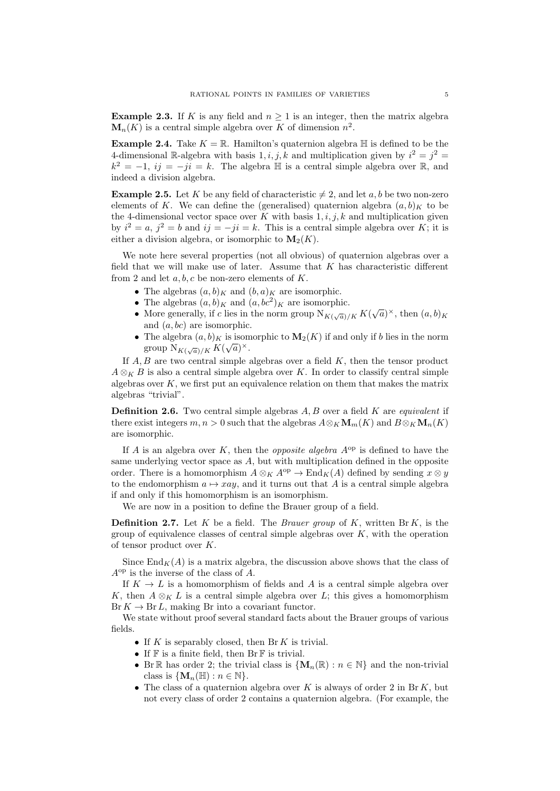**Example 2.3.** If K is any field and  $n \geq 1$  is an integer, then the matrix algebra  $\mathbf{M}_{n}(K)$  is a central simple algebra over K of dimension  $n^2$ .

**Example 2.4.** Take  $K = \mathbb{R}$ . Hamilton's quaternion algebra  $\mathbb{H}$  is defined to be the 4-dimensional R-algebra with basis 1, i, j, k and multiplication given by  $i^2 = j^2 =$  $k^2 = -1$ ,  $ij = -ji = k$ . The algebra  $\mathbb H$  is a central simple algebra over  $\mathbb R$ , and indeed a division algebra.

**Example 2.5.** Let K be any field of characteristic  $\neq 2$ , and let a, b be two non-zero elements of K. We can define the (generalised) quaternion algebra  $(a, b)_K$  to be the 4-dimensional vector space over  $K$  with basis  $1, i, j, k$  and multiplication given by  $i^2 = a$ ,  $j^2 = b$  and  $ij = -ji = k$ . This is a central simple algebra over K; it is either a division algebra, or isomorphic to  $\mathbf{M}_2(K)$ .

We note here several properties (not all obvious) of quaternion algebras over a field that we will make use of later. Assume that K has characteristic different from 2 and let  $a, b, c$  be non-zero elements of  $K$ .

- The algebras  $(a, b)_K$  and  $(b, a)_K$  are isomorphic.
- The algebras  $(a, b)_K$  and  $(a, bc^2)_K$  are isomorphic.
- The algebras  $(a, b)_K$  and  $(a, bc)_K$  are isomorphic.<br>• More generally, if c lies in the norm group  $N_{K(\sqrt{a})/K} K(\sqrt{a})^{\times}$ , then  $(a, b)_K$ and  $(a, bc)$  are isomorphic.
- The algebra  $(a, b)_K$  is isomorphic to  $\mathbf{M}_2(K)$  if and only if b lies in the norm group  $N_{K(\sqrt{a})/K} K(\sqrt{a})^{\times}$ .

If  $A, B$  are two central simple algebras over a field  $K$ , then the tensor product  $A \otimes_K B$  is also a central simple algebra over K. In order to classify central simple algebras over  $K$ , we first put an equivalence relation on them that makes the matrix algebras "trivial".

**Definition 2.6.** Two central simple algebras  $A, B$  over a field  $K$  are *equivalent* if there exist integers  $m, n > 0$  such that the algebras  $A \otimes_K \mathbf{M}_m(K)$  and  $B \otimes_K \mathbf{M}_n(K)$ are isomorphic.

If A is an algebra over K, then the *opposite algebra*  $A^{op}$  is defined to have the same underlying vector space as  $A$ , but with multiplication defined in the opposite order. There is a homomorphism  $A \otimes_K A^{op} \to \text{End}_K(A)$  defined by sending  $x \otimes y$ to the endomorphism  $a \mapsto xay$ , and it turns out that A is a central simple algebra if and only if this homomorphism is an isomorphism.

We are now in a position to define the Brauer group of a field.

**Definition 2.7.** Let K be a field. The *Brauer group* of K, written Br K, is the group of equivalence classes of central simple algebras over  $K$ , with the operation of tensor product over K.

Since  $\text{End}_K(A)$  is a matrix algebra, the discussion above shows that the class of  $A^{\rm op}$  is the inverse of the class of A.

If  $K \to L$  is a homomorphism of fields and A is a central simple algebra over K, then  $A \otimes_K L$  is a central simple algebra over L; this gives a homomorphism  $Br K \to Br L$ , making Br into a covariant functor.

We state without proof several standard facts about the Brauer groups of various fields.

- If K is separably closed, then Br K is trivial.
- If  $\mathbb F$  is a finite field, then  $\text{Br } \mathbb F$  is trivial.
- Br R has order 2; the trivial class is  $\{M_n(\mathbb{R}) : n \in \mathbb{N}\}\$  and the non-trivial class is  $\{M_n(\mathbb{H}) : n \in \mathbb{N}\}.$
- The class of a quaternion algebra over  $K$  is always of order 2 in Br  $K$ , but not every class of order 2 contains a quaternion algebra. (For example, the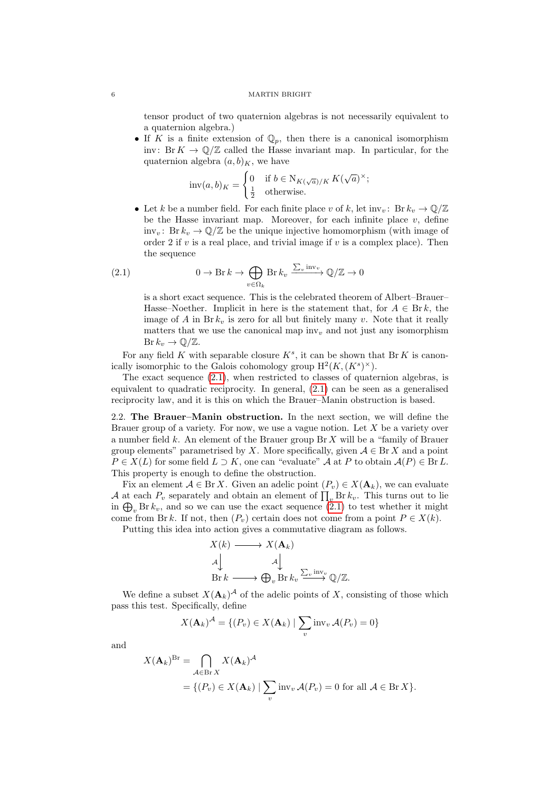tensor product of two quaternion algebras is not necessarily equivalent to a quaternion algebra.)

• If K is a finite extension of  $\mathbb{Q}_p$ , then there is a canonical isomorphism inv: Br  $K \to \mathbb{O}/\mathbb{Z}$  called the Hasse invariant map. In particular, for the quaternion algebra  $(a, b)_K$ , we have

$$
\mathrm{inv}(a,b)_K = \begin{cases} 0 & \text{if } b \in \mathrm{N}_{K(\sqrt{a})/K} K(\sqrt{a})^{\times}; \\ \frac{1}{2} & \text{otherwise}. \end{cases}
$$

• Let k be a number field. For each finite place v of k, let  $inv_n: \text{Br } k_n \to \mathbb{Q}/\mathbb{Z}$ be the Hasse invariant map. Moreover, for each infinite place  $v$ , define inv<sub>v</sub>: Br  $k_v \to \mathbb{Q}/\mathbb{Z}$  be the unique injective homomorphism (with image of order 2 if  $v$  is a real place, and trivial image if  $v$  is a complex place). Then the sequence

(2.1) 
$$
0 \to \text{Br } k \to \bigoplus_{v \in \Omega_k} \text{Br } k_v \xrightarrow{\sum_v \text{inv}_v} \mathbb{Q}/\mathbb{Z} \to 0
$$

<span id="page-5-0"></span>is a short exact sequence. This is the celebrated theorem of Albert–Brauer– Hasse–Noether. Implicit in here is the statement that, for  $A \in \text{Br } k$ , the image of A in Br $k_v$  is zero for all but finitely many v. Note that it really matters that we use the canonical map inv<sub>v</sub> and not just any isomorphism  $\text{Br } k_v \to \mathbb{Q}/\mathbb{Z}.$ 

For any field K with separable closure  $K^s$ , it can be shown that Br K is canonically isomorphic to the Galois cohomology group  $H^2(K,(K^s)^{\times}).$ 

The exact sequence [\(2.1\)](#page-5-0), when restricted to classes of quaternion algebras, is equivalent to quadratic reciprocity. In general, [\(2.1\)](#page-5-0) can be seen as a generalised reciprocity law, and it is this on which the Brauer–Manin obstruction is based.

2.2. The Brauer–Manin obstruction. In the next section, we will define the Brauer group of a variety. For now, we use a vague notion. Let  $X$  be a variety over a number field  $k$ . An element of the Brauer group  $\text{Br } X$  will be a "family of Brauer group elements" parametrised by X. More specifically, given  $A \in \text{Br } X$  and a point  $P \in X(L)$  for some field  $L \supset K$ , one can "evaluate"  $\mathcal A$  at P to obtain  $\mathcal A(P) \in \text{Br } L$ . This property is enough to define the obstruction.

Fix an element  $A \in \text{Br } X$ . Given an adelic point  $(P_v) \in X(\mathbf{A}_k)$ , we can evaluate A at each  $P_v$  separately and obtain an element of  $\prod_v \text{Br } k_v$ . This turns out to lie in  $\bigoplus_{v}$  Br  $k_{v}$ , and so we can use the exact sequence [\(2.1\)](#page-5-0) to test whether it might come from Br k. If not, then  $(P_v)$  certain does not come from a point  $P \in X(k)$ .

Putting this idea into action gives a commutative diagram as follows.

$$
X(k) \longrightarrow X(\mathbf{A}_{k})
$$
  
\n
$$
\downarrow \qquad \qquad \downarrow
$$
  
\n
$$
\text{Br } k \longrightarrow \bigoplus_{v} \text{Br } k_{v} \xrightarrow{\sum_{v} \text{inv}_{v}} \mathbb{Q}/\mathbb{Z}.
$$

We define a subset  $X(\mathbf{A}_k)^{\mathcal{A}}$  of the adelic points of X, consisting of those which pass this test. Specifically, define

$$
X(\mathbf{A}_k)^{\mathcal{A}} = \{ (P_v) \in X(\mathbf{A}_k) \mid \sum_v \text{inv}_v \mathcal{A}(P_v) = 0 \}
$$

and

$$
X(\mathbf{A}_k)^{\text{Br}} = \bigcap_{\mathcal{A} \in \text{Br } X} X(\mathbf{A}_k)^{\mathcal{A}}
$$
  
=  $\{ (P_v) \in X(\mathbf{A}_k) \mid \sum_v \text{inv}_v \mathcal{A}(P_v) = 0 \text{ for all } \mathcal{A} \in \text{Br } X \}.$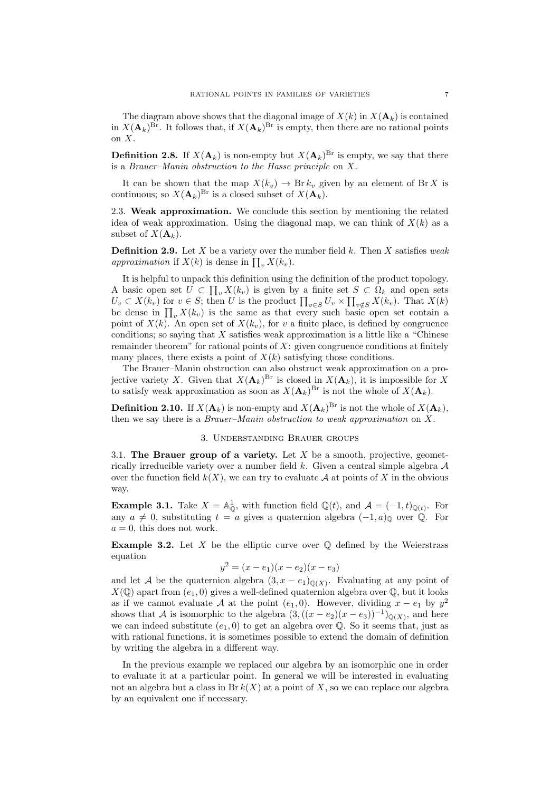The diagram above shows that the diagonal image of  $X(k)$  in  $X(\mathbf{A}_k)$  is contained in  $X({\bf A}_k)^{Br}$ . It follows that, if  $X({\bf A}_k)^{Br}$  is empty, then there are no rational points on X.

**Definition 2.8.** If  $X(\mathbf{A}_k)$  is non-empty but  $X(\mathbf{A}_k)^{Br}$  is empty, we say that there is a Brauer–Manin obstruction to the Hasse principle on X.

It can be shown that the map  $X(k_v) \to \text{Br } k_v$  given by an element of Br X is continuous; so  $X(\mathbf{A}_k)^{Br}$  is a closed subset of  $X(\mathbf{A}_k)$ .

2.3. Weak approximation. We conclude this section by mentioning the related idea of weak approximation. Using the diagonal map, we can think of  $X(k)$  as a subset of  $X(\mathbf{A}_k)$ .

**Definition 2.9.** Let X be a variety over the number field k. Then X satisfies weak approximation if  $X(k)$  is dense in  $\prod_{v} X(k_v)$ .

It is helpful to unpack this definition using the definition of the product topology. A basic open set  $U \subset \prod_v X(k_v)$  is given by a finite set  $S \subset \Omega_k$  and open sets  $U_v \subset X(k_v)$  for  $v \in S$ ; then U is the product  $\prod_{v \in S} U_v \times \prod_{v \notin S} X(k_v)$ . That  $X(k)$ be dense in  $\prod_v X(k_v)$  is the same as that every such basic open set contain a point of  $X(k)$ . An open set of  $X(k_v)$ , for v a finite place, is defined by congruence conditions; so saying that  $X$  satisfies weak approximation is a little like a "Chinese" remainder theorem" for rational points of  $X$ : given congruence conditions at finitely many places, there exists a point of  $X(k)$  satisfying those conditions.

The Brauer–Manin obstruction can also obstruct weak approximation on a projective variety X. Given that  $X(\mathbf{A}_k)^{Br}$  is closed in  $X(\mathbf{A}_k)$ , it is impossible for X to satisfy weak approximation as soon as  $X(\mathbf{A}_k)^{Br}$  is not the whole of  $X(\mathbf{A}_k)$ .

**Definition 2.10.** If  $X(\mathbf{A}_k)$  is non-empty and  $X(\mathbf{A}_k)^{Br}$  is not the whole of  $X(\mathbf{A}_k)$ , then we say there is a Brauer–Manin obstruction to weak approximation on X.

# 3. Understanding Brauer groups

<span id="page-6-0"></span>3.1. The Brauer group of a variety. Let  $X$  be a smooth, projective, geometrically irreducible variety over a number field  $k$ . Given a central simple algebra  $A$ over the function field  $k(X)$ , we can try to evaluate A at points of X in the obvious way.

**Example 3.1.** Take  $X = \mathbb{A}^1_{\mathbb{Q}}$ , with function field  $\mathbb{Q}(t)$ , and  $\mathcal{A} = (-1, t)_{\mathbb{Q}(t)}$ . For any  $a \neq 0$ , substituting  $t = a$  gives a quaternion algebra  $(-1, a)$ <sub>Q</sub> over Q. For  $a = 0$ , this does not work.

**Example 3.2.** Let X be the elliptic curve over  $\mathbb Q$  defined by the Weierstrass equation

$$
y^2 = (x - e_1)(x - e_2)(x - e_3)
$$

and let A be the quaternion algebra  $(3, x - e_1)_{\mathbb{Q}(X)}$ . Evaluating at any point of  $X(\mathbb{Q})$  apart from  $(e_1, 0)$  gives a well-defined quaternion algebra over  $\mathbb{Q}$ , but it looks as if we cannot evaluate A at the point  $(e_1, 0)$ . However, dividing  $x - e_1$  by  $y^2$ shows that A is isomorphic to the algebra  $(3,((x-e_2)(x-e_3))^{-1})_{\mathbb{Q}(X)}$ , and here we can indeed substitute  $(e_1, 0)$  to get an algebra over  $\mathbb Q$ . So it seems that, just as with rational functions, it is sometimes possible to extend the domain of definition by writing the algebra in a different way.

In the previous example we replaced our algebra by an isomorphic one in order to evaluate it at a particular point. In general we will be interested in evaluating not an algebra but a class in  $Br\ k(X)$  at a point of X, so we can replace our algebra by an equivalent one if necessary.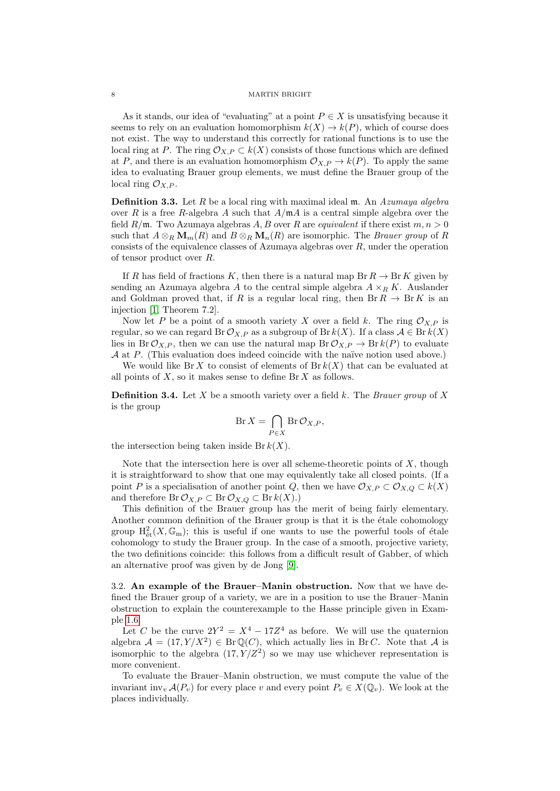As it stands, our idea of "evaluating" at a point  $P \in X$  is unsatisfying because it seems to rely on an evaluation homomorphism  $k(X) \to k(P)$ , which of course does not exist. The way to understand this correctly for rational functions is to use the local ring at P. The ring  $\mathcal{O}_{X,P} \subset k(X)$  consists of those functions which are defined at P, and there is an evaluation homomorphism  $\mathcal{O}_{X,P} \to k(P)$ . To apply the same idea to evaluating Brauer group elements, we must define the Brauer group of the local ring  $\mathcal{O}_{X,P}$ .

**Definition 3.3.** Let  $R$  be a local ring with maximal ideal  $m$ . An Azumaya algebra over R is a free R-algebra A such that  $A/\mathfrak{m}A$  is a central simple algebra over the field  $R/\mathfrak{m}$ . Two Azumaya algebras A, B over R are *equivalent* if there exist  $m, n > 0$ such that  $A \otimes_R \mathbf{M}_m(R)$  and  $B \otimes_R \mathbf{M}_n(R)$  are isomorphic. The *Brauer group* of R consists of the equivalence classes of Azumaya algebras over R, under the operation of tensor product over R.

If R has field of fractions K, then there is a natural map  $\text{Br } R \to \text{Br } K$  given by sending an Azumaya algebra A to the central simple algebra  $A \times_R K$ . Auslander and Goldman proved that, if R is a regular local ring, then  $\text{Br } R \to \text{Br } K$  is an injection [\[1,](#page-20-15) Theorem 7.2].

Now let P be a point of a smooth variety X over a field k. The ring  $\mathcal{O}_{X,P}$  is regular, so we can regard Br  $\mathcal{O}_{X,P}$  as a subgroup of Br  $k(X)$ . If a class  $\mathcal{A} \in \text{Br } k(X)$ lies in Br  $\mathcal{O}_{X,P}$ , then we can use the natural map Br  $\mathcal{O}_{X,P} \to \text{Br } k(P)$  to evaluate  $A$  at  $P$ . (This evaluation does indeed coincide with the naïve notion used above.)

We would like Br X to consist of elements of  $Br\,k(X)$  that can be evaluated at all points of  $X$ , so it makes sense to define Br  $X$  as follows.

**Definition 3.4.** Let X be a smooth variety over a field k. The Brauer group of X is the group

$$
\operatorname{Br} X = \bigcap_{P \in X} \operatorname{Br} \mathcal{O}_{X,P},
$$

the intersection being taken inside Br  $k(X)$ .

Note that the intersection here is over all scheme-theoretic points of  $X$ , though it is straightforward to show that one may equivalently take all closed points. (If a point P is a specialisation of another point Q, then we have  $\mathcal{O}_{X,P} \subset \mathcal{O}_{X,Q} \subset k(X)$ and therefore  $\text{Br}\,\mathcal{O}_{X,P}\subset \text{Br}\,\mathcal{O}_{X,Q}\subset \text{Br}\,k(X).$ 

This definition of the Brauer group has the merit of being fairly elementary. Another common definition of the Brauer group is that it is the étale cohomology group  $\mathrm{H}_{\text{\'et}}^2(X,\mathbb{G}_{\text{m}})$ ; this is useful if one wants to use the powerful tools of étale cohomology to study the Brauer group. In the case of a smooth, projective variety, the two definitions coincide: this follows from a difficult result of Gabber, of which an alternative proof was given by de Jong [\[9\]](#page-20-16).

3.2. An example of the Brauer–Manin obstruction. Now that we have defined the Brauer group of a variety, we are in a position to use the Brauer–Manin obstruction to explain the counterexample to the Hasse principle given in Example [1.6.](#page-2-2)

Let C be the curve  $2Y^2 = X^4 - 17Z^4$  as before. We will use the quaternion algebra  $\mathcal{A} = (17, Y/X^2) \in Br(\mathbb{Q}(C))$ , which actually lies in BrC. Note that A is isomorphic to the algebra  $(17, Y/Z^2)$  so we may use whichever representation is more convenient.

To evaluate the Brauer–Manin obstruction, we must compute the value of the invariant inv<sub>v</sub>  $\mathcal{A}(P_v)$  for every place v and every point  $P_v \in X(\mathbb{Q}_v)$ . We look at the places individually.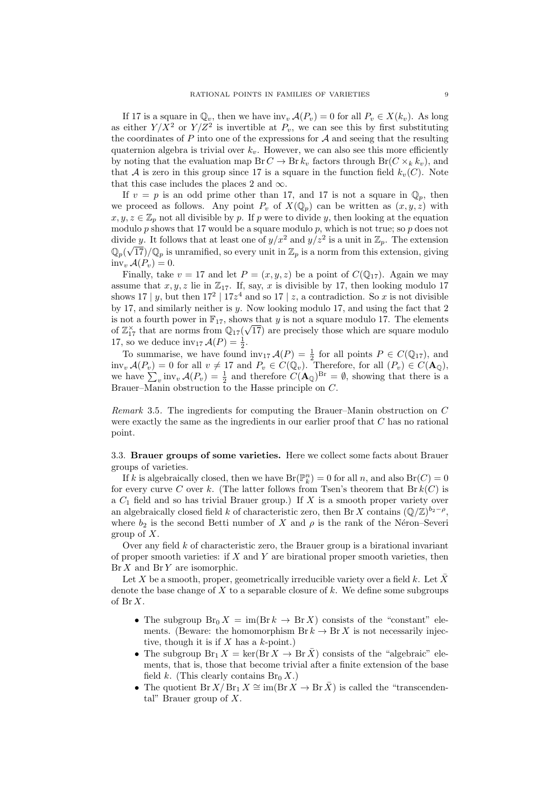If 17 is a square in  $\mathbb{Q}_v$ , then we have inv<sub>v</sub>  $\mathcal{A}(P_v) = 0$  for all  $P_v \in X(k_v)$ . As long as either  $Y/X^2$  or  $Y/Z^2$  is invertible at  $P_v$ , we can see this by first substituting the coordinates of  $P$  into one of the expressions for  $A$  and seeing that the resulting quaternion algebra is trivial over  $k_v$ . However, we can also see this more efficiently by noting that the evaluation map  $Br C \to Br k_v$  factors through  $Br(C \times_k k_v)$ , and that A is zero in this group since 17 is a square in the function field  $k_v(C)$ . Note that this case includes the places 2 and  $\infty$ .

If  $v = p$  is an odd prime other than 17, and 17 is not a square in  $\mathbb{Q}_p$ , then we proceed as follows. Any point  $P_v$  of  $X(\mathbb{Q}_p)$  can be written as  $(x, y, z)$  with  $x, y, z \in \mathbb{Z}_p$  not all divisible by p. If p were to divide y, then looking at the equation modulo  $p$  shows that 17 would be a square modulo  $p$ , which is not true; so  $p$  does not divide y. It follows that at least one of  $y/x^2$  and  $y/z^2$  is a unit in  $\mathbb{Z}_p$ . The extension  $\mathbb{Q}_p(\sqrt{17})/\mathbb{Q}_p$  is unramified, so every unit in  $\mathbb{Z}_p$  is a norm from this extension, giving  $inv_v \mathcal{A}(P_v) = 0.$ 

Finally, take  $v = 17$  and let  $P = (x, y, z)$  be a point of  $C(\mathbb{Q}_{17})$ . Again we may assume that  $x, y, z$  lie in  $\mathbb{Z}_{17}$ . If, say, x is divisible by 17, then looking modulo 17 shows 17 | y, but then  $17^2$  |  $17z^4$  and so 17 | z, a contradiction. So x is not divisible by 17, and similarly neither is y. Now looking modulo 17, and using the fact that 2 is not a fourth power in  $\mathbb{F}_{17}$ , shows that y is not a square modulo 17. The elements of  $\mathbb{Z}_{17}^{\times}$  that are norms from  $\mathbb{Q}_{17}(\sqrt{17})$  are precisely those which are square modulo 17, so we deduce  $\text{inv}_{17} \mathcal{A}(P) = \frac{1}{2}$ .

To summarise, we have found  $\text{inv}_{17} \mathcal{A}(P) = \frac{1}{2}$  for all points  $P \in C(\mathbb{Q}_{17})$ , and inv<sub>v</sub>  $A(P_v) = 0$  for all  $v \neq 17$  and  $P_v \in C(\mathbb{Q}_v)$ . Therefore, for all  $(P_v) \in C(\mathbf{A}_0)$ . we have  $\sum_{v}$  inv<sub>v</sub>  $\mathcal{A}(P_v) = \frac{1}{2}$  and therefore  $C(\mathbf{A}_{\mathbb{Q}})^{Br} = \emptyset$ , showing that there is a Brauer–Manin obstruction to the Hasse principle on C.

Remark 3.5. The ingredients for computing the Brauer–Manin obstruction on C were exactly the same as the ingredients in our earlier proof that C has no rational point.

3.3. Brauer groups of some varieties. Here we collect some facts about Brauer groups of varieties.

If k is algebraically closed, then we have  $Br(\mathbb{P}^n_k) = 0$  for all n, and also  $Br(C) = 0$ for every curve C over k. (The latter follows from Tsen's theorem that  $Br\ k(C)$  is a  $C_1$  field and so has trivial Brauer group.) If  $X$  is a smooth proper variety over an algebraically closed field k of characteristic zero, then Br X contains  $(\mathbb{Q}/\mathbb{Z})^{b_2-\rho}$ , where  $b_2$  is the second Betti number of X and  $\rho$  is the rank of the Néron–Severi group of  $X$ .

Over any field  $k$  of characteristic zero, the Brauer group is a birational invariant of proper smooth varieties: if  $X$  and  $Y$  are birational proper smooth varieties, then  $\text{Br } X$  and  $\text{Br } Y$  are isomorphic.

Let X be a smooth, proper, geometrically irreducible variety over a field k. Let  $\overline{X}$ denote the base change of  $X$  to a separable closure of  $k$ . We define some subgroups of Br X.

- The subgroup  $\text{Br}_0 X = \text{im}(\text{Br } k \to \text{Br } X)$  consists of the "constant" elements. (Beware: the homomorphism  $\text{Br } k \to \text{Br } X$  is not necessarily injective, though it is if  $X$  has a  $k$ -point.)
- The subgroup  $\text{Br}_1 X = \ker(\text{Br } X \to \text{Br } \overline{X}$  consists of the "algebraic" elements, that is, those that become trivial after a finite extension of the base field k. (This clearly contains  $\text{Br}_0 X$ .)
- The quotient Br  $X/\operatorname{Br}_1 X \cong \operatorname{im}(\operatorname{Br} X \to \operatorname{Br} \bar{X})$  is called the "transcendental" Brauer group of  $X$ .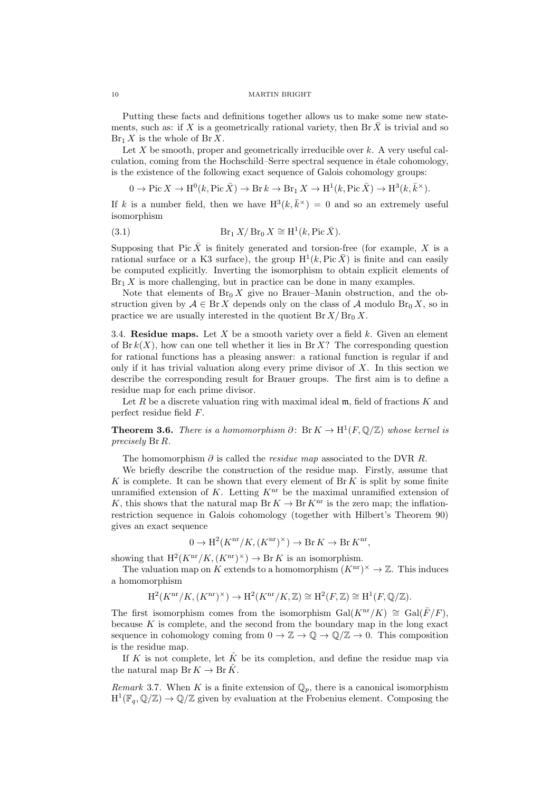Putting these facts and definitions together allows us to make some new statements, such as: if X is a geometrically rational variety, then Br  $\bar{X}$  is trivial and so  $\text{Br}_1 X$  is the whole of  $\text{Br } X$ .

Let  $X$  be smooth, proper and geometrically irreducible over  $k$ . A very useful calculation, coming from the Hochschild–Serre spectral sequence in étale cohomology, is the existence of the following exact sequence of Galois cohomology groups:

<span id="page-9-2"></span> $0 \to \text{Pic } X \to \text{H}^0(k, \text{Pic }\bar{X}) \to \text{Br } k \to \text{Br}_1 X \to \text{H}^1(k, \text{Pic }\bar{X}) \to \text{H}^3(k, \bar{k}^\times).$ 

If k is a number field, then we have  $H^3(k, \bar{k}^\times) = 0$  and so an extremely useful isomorphism

(3.1) 
$$
\operatorname{Br}_1 X/\operatorname{Br}_0 X \cong \mathrm{H}^1(k, \mathrm{Pic}\,\bar{X}).
$$

Supposing that Pic  $\bar{X}$  is finitely generated and torsion-free (for example, X is a rational surface or a K3 surface), the group  $H^1(k, Pic \bar{X})$  is finite and can easily be computed explicitly. Inverting the isomorphism to obtain explicit elements of  $Br_1 X$  is more challenging, but in practice can be done in many examples.

Note that elements of  $Br_0 X$  give no Brauer–Manin obstruction, and the obstruction given by  $A \in \mathbb{B}r X$  depends only on the class of A modulo  $\mathbb{B}r_0 X$ , so in practice we are usually interested in the quotient  $Br X/Br_0 X$ .

3.4. Residue maps. Let  $X$  be a smooth variety over a field  $k$ . Given an element of Br  $k(X)$ , how can one tell whether it lies in Br X? The corresponding question for rational functions has a pleasing answer: a rational function is regular if and only if it has trivial valuation along every prime divisor of  $X$ . In this section we describe the corresponding result for Brauer groups. The first aim is to define a residue map for each prime divisor.

Let  $R$  be a discrete valuation ring with maximal ideal  $m$ , field of fractions  $K$  and perfect residue field F.

<span id="page-9-0"></span>**Theorem 3.6.** There is a homomorphism  $\partial: \text{Br } K \to \text{H}^1(F, \mathbb{Q}/\mathbb{Z})$  whose kernel is precisely Br R.

The homomorphism  $\partial$  is called the *residue map* associated to the DVR R.

We briefly describe the construction of the residue map. Firstly, assume that K is complete. It can be shown that every element of  $\text{Br } K$  is split by some finite unramified extension of K. Letting  $K<sup>nr</sup>$  be the maximal unramified extension of K, this shows that the natural map Br  $K \to Br K^{nr}$  is the zero map; the inflationrestriction sequence in Galois cohomology (together with Hilbert's Theorem 90) gives an exact sequence

$$
0 \to \mathrm{H}^2(K^{\mathrm{nr}}/K, (K^{\mathrm{nr}})^\times) \to \mathrm{Br} K \to \mathrm{Br} K^{\mathrm{nr}},
$$

showing that  $H^2(K^{\text{nr}}/K,(K^{\text{nr}})^{\times}) \to \text{Br } K$  is an isomorphism.

The valuation map on K extends to a homomorphism  $(K<sup>nr</sup>)^{\times} \to \mathbb{Z}$ . This induces a homomorphism

$$
\mathrm{H}^2(K^{\mathrm{nr}}/K, (K^{\mathrm{nr}})^\times) \to \mathrm{H}^2(K^{\mathrm{nr}}/K, \mathbb{Z}) \cong \mathrm{H}^2(F, \mathbb{Z}) \cong \mathrm{H}^1(F, \mathbb{Q}/\mathbb{Z}).
$$

The first isomorphism comes from the isomorphism Gal( $K^{\text{nr}}/K$ ) ≅ Gal( $\overline{F}/F$ ), because  $K$  is complete, and the second from the boundary map in the long exact sequence in cohomology coming from  $0 \to \mathbb{Z} \to \mathbb{Q} \to \mathbb{Q}/\mathbb{Z} \to 0$ . This composition is the residue map.

If K is not complete, let  $\hat{K}$  be its completion, and define the residue map via the natural map  $\text{Br } K \to \text{Br } \hat{K}$ .

<span id="page-9-1"></span>Remark 3.7. When K is a finite extension of  $\mathbb{Q}_p$ , there is a canonical isomorphism  $H^1(\mathbb{F}_q, \mathbb{Q}/\mathbb{Z}) \to \mathbb{Q}/\mathbb{Z}$  given by evaluation at the Frobenius element. Composing the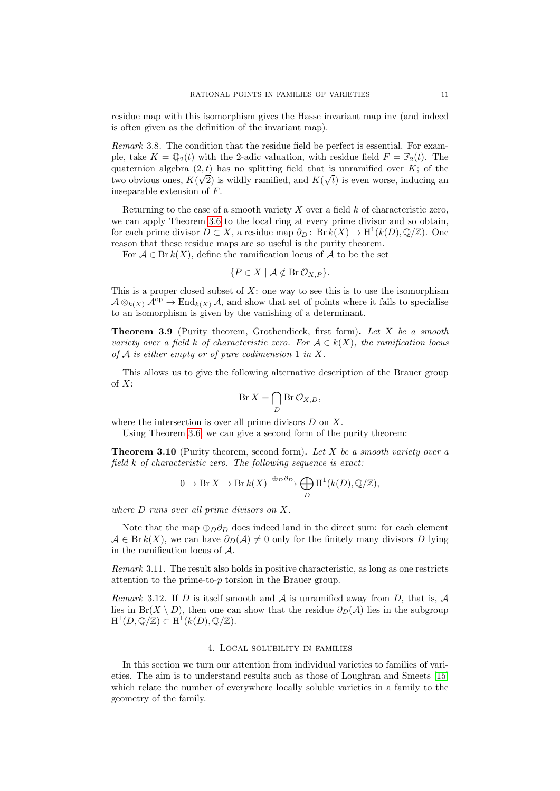residue map with this isomorphism gives the Hasse invariant map inv (and indeed is often given as the definition of the invariant map).

Remark 3.8. The condition that the residue field be perfect is essential. For example, take  $K = \mathbb{Q}_2(t)$  with the 2-adic valuation, with residue field  $F = \mathbb{F}_2(t)$ . The quaternion algebra  $(2, t)$  has no splitting field that is unramified over K; of the two obvious ones,  $K(\sqrt{2})$  is wildly ramified, and  $K(\sqrt{t})$  is even worse, inducing an inseparable extension of F.

Returning to the case of a smooth variety  $X$  over a field  $k$  of characteristic zero, we can apply Theorem [3.6](#page-9-0) to the local ring at every prime divisor and so obtain, for each prime divisor  $D \subset X$ , a residue map  $\partial_D : \text{Br } k(X) \to \text{H}^1(k(D), \mathbb{Q}/\mathbb{Z})$ . One reason that these residue maps are so useful is the purity theorem.

For  $A \in Br\,k(X)$ , define the ramification locus of A to be the set

$$
\{P \in X \mid \mathcal{A} \notin \operatorname{Br} \mathcal{O}_{X,P}\}.
$$

This is a proper closed subset of  $X$ : one way to see this is to use the isomorphism  $\mathcal{A} \otimes_{k(X)} \mathcal{A}^{\mathrm{op}} \to \mathrm{End}_{k(X)} \mathcal{A}$ , and show that set of points where it fails to specialise to an isomorphism is given by the vanishing of a determinant.

**Theorem 3.9** (Purity theorem, Grothendieck, first form). Let X be a smooth variety over a field k of characteristic zero. For  $A \in k(X)$ , the ramification locus of  $A$  is either empty or of pure codimension 1 in X.

This allows us to give the following alternative description of the Brauer group of X:

$$
\operatorname{Br} X = \bigcap_{D} \operatorname{Br} \mathcal{O}_{X,D},
$$

where the intersection is over all prime divisors  $D$  on  $X$ .

Using Theorem [3.6,](#page-9-0) we can give a second form of the purity theorem:

<span id="page-10-1"></span>**Theorem 3.10** (Purity theorem, second form). Let X be a smooth variety over a field k of characteristic zero. The following sequence is exact:

$$
0 \to \text{Br } X \to \text{Br } k(X) \xrightarrow{\oplus_D \partial_D} \bigoplus_D \text{H}^1(k(D), \mathbb{Q}/\mathbb{Z}),
$$

where D runs over all prime divisors on X.

Note that the map  $\oplus_D \partial_D$  does indeed land in the direct sum: for each element  $A \in \text{Br } k(X)$ , we can have  $\partial_D(A) \neq 0$  only for the finitely many divisors D lying in the ramification locus of A.

Remark 3.11. The result also holds in positive characteristic, as long as one restricts attention to the prime-to- $p$  torsion in the Brauer group.

Remark 3.12. If D is itself smooth and  $A$  is unramified away from D, that is,  $A$ lies in Br(X \ D), then one can show that the residue  $\partial_D(\mathcal{A})$  lies in the subgroup  $\mathrm{H}^1(D,\mathbb{Q}/\mathbb{Z})\subset \mathrm{H}^1(k(D),\mathbb{Q}/\mathbb{Z}).$ 

## 4. Local solubility in families

<span id="page-10-0"></span>In this section we turn our attention from individual varieties to families of varieties. The aim is to understand results such as those of Loughran and Smeets [\[15\]](#page-20-17) which relate the number of everywhere locally soluble varieties in a family to the geometry of the family.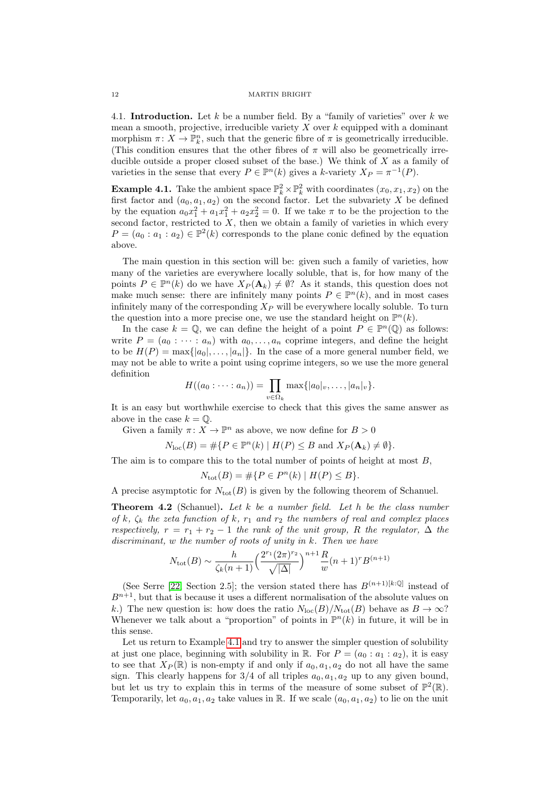4.1. Introduction. Let k be a number field. By a "family of varieties" over k we mean a smooth, projective, irreducible variety  $X$  over  $k$  equipped with a dominant morphism  $\pi \colon X \to \mathbb{P}^n_k$ , such that the generic fibre of  $\pi$  is geometrically irreducible. (This condition ensures that the other fibres of  $\pi$  will also be geometrically irreducible outside a proper closed subset of the base.) We think of  $X$  as a family of varieties in the sense that every  $P \in \mathbb{P}^n(k)$  gives a k-variety  $X_P = \pi^{-1}(P)$ .

<span id="page-11-0"></span>**Example 4.1.** Take the ambient space  $\mathbb{P}_k^2 \times \mathbb{P}_k^2$  with coordinates  $(x_0, x_1, x_2)$  on the first factor and  $(a_0, a_1, a_2)$  on the second factor. Let the subvariety X be defined by the equation  $a_0x_1^2 + a_1x_1^2 + a_2x_2^2 = 0$ . If we take  $\pi$  to be the projection to the second factor, restricted to  $X$ , then we obtain a family of varieties in which every  $P = (a_0 : a_1 : a_2) \in \mathbb{P}^2(k)$  corresponds to the plane conic defined by the equation above.

The main question in this section will be: given such a family of varieties, how many of the varieties are everywhere locally soluble, that is, for how many of the points  $P \in \mathbb{P}^n(k)$  do we have  $X_P(\mathbf{A}_k) \neq \emptyset$ ? As it stands, this question does not make much sense: there are infinitely many points  $P \in \mathbb{P}^n(k)$ , and in most cases infinitely many of the corresponding  $X_P$  will be everywhere locally soluble. To turn the question into a more precise one, we use the standard height on  $\mathbb{P}^n(k)$ .

In the case  $k = \mathbb{Q}$ , we can define the height of a point  $P \in \mathbb{P}^n(\mathbb{Q})$  as follows: write  $P = (a_0 : \cdots : a_n)$  with  $a_0, \ldots, a_n$  coprime integers, and define the height to be  $H(P) = \max\{|a_0|, \ldots, |a_n|\}$ . In the case of a more general number field, we may not be able to write a point using coprime integers, so we use the more general definition

$$
H((a_0:\cdots:a_n))=\prod_{v\in\Omega_k}\max\{|a_0|_v,\ldots,|a_n|_v\}.
$$

It is an easy but worthwhile exercise to check that this gives the same answer as above in the case  $k = \mathbb{O}$ .

Given a family  $\pi: X \to \mathbb{P}^n$  as above, we now define for  $B > 0$ 

$$
N_{\rm loc}(B) = \#\{P \in \mathbb{P}^n(k) \mid H(P) \leq B \text{ and } X_P(\mathbf{A}_k) \neq \emptyset\}.
$$

The aim is to compare this to the total number of points of height at most B,

$$
N_{\text{tot}}(B) = \# \{ P \in P^n(k) \mid H(P) \le B \}.
$$

A precise asymptotic for  $N_{\text{tot}}(B)$  is given by the following theorem of Schanuel.

Theorem 4.2 (Schanuel). Let k be a number field. Let h be the class number of k,  $\zeta_k$  the zeta function of k,  $r_1$  and  $r_2$  the numbers of real and complex places respectively,  $r = r_1 + r_2 - 1$  the rank of the unit group, R the regulator,  $\Delta$  the discriminant, w the number of roots of unity in k. Then we have

$$
N_{\text{tot}}(B) \sim \frac{h}{\zeta_k(n+1)} \Big(\frac{2^{r_1} (2\pi)^{r_2}}{\sqrt{|\Delta|}}\Big)^{n+1} \frac{R}{w} (n+1)^r B^{(n+1)}
$$

(See Serre [\[22,](#page-20-18) Section 2.5]; the version stated there has  $B^{(n+1)[k:\mathbb{Q}]}$  instead of  $B^{n+1}$ , but that is because it uses a different normalisation of the absolute values on k.) The new question is: how does the ratio  $N_{\text{loc}}(B)/N_{\text{tot}}(B)$  behave as  $B \to \infty$ ? Whenever we talk about a "proportion" of points in  $\mathbb{P}^n(k)$  in future, it will be in this sense.

Let us return to Example [4.1](#page-11-0) and try to answer the simpler question of solubility at just one place, beginning with solubility in R. For  $P = (a_0 : a_1 : a_2)$ , it is easy to see that  $X_P(\mathbb{R})$  is non-empty if and only if  $a_0, a_1, a_2$  do not all have the same sign. This clearly happens for  $3/4$  of all triples  $a_0, a_1, a_2$  up to any given bound. but let us try to explain this in terms of the measure of some subset of  $\mathbb{P}^2(\mathbb{R})$ . Temporarily, let  $a_0, a_1, a_2$  take values in R. If we scale  $(a_0, a_1, a_2)$  to lie on the unit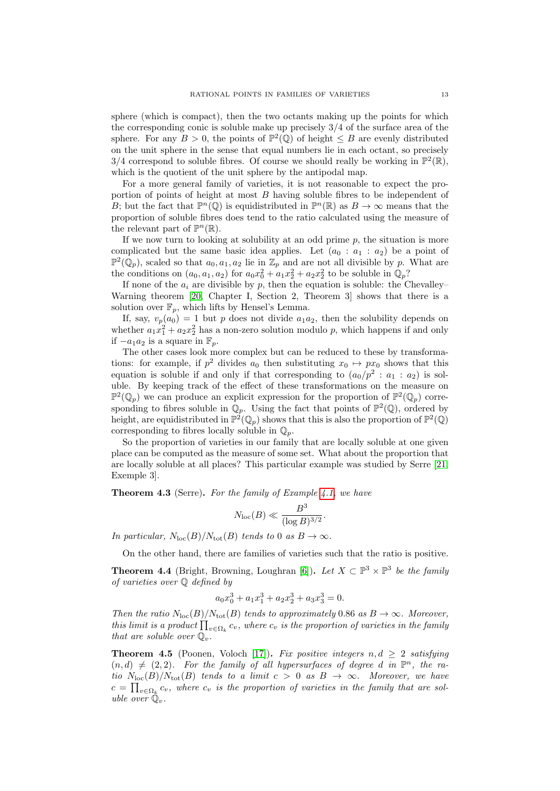sphere (which is compact), then the two octants making up the points for which the corresponding conic is soluble make up precisely 3/4 of the surface area of the sphere. For any  $B > 0$ , the points of  $\mathbb{P}^2(\mathbb{Q})$  of height  $\leq B$  are evenly distributed on the unit sphere in the sense that equal numbers lie in each octant, so precisely 3/4 correspond to soluble fibres. Of course we should really be working in  $\mathbb{P}^2(\mathbb{R})$ , which is the quotient of the unit sphere by the antipodal map.

For a more general family of varieties, it is not reasonable to expect the proportion of points of height at most B having soluble fibres to be independent of B; but the fact that  $\mathbb{P}^n(\mathbb{Q})$  is equidistributed in  $\mathbb{P}^n(\mathbb{R})$  as  $B \to \infty$  means that the proportion of soluble fibres does tend to the ratio calculated using the measure of the relevant part of  $\mathbb{P}^n(\mathbb{R})$ .

If we now turn to looking at solubility at an odd prime  $p$ , the situation is more complicated but the same basic idea applies. Let  $(a_0 : a_1 : a_2)$  be a point of  $\mathbb{P}^2(\mathbb{Q}_p)$ , scaled so that  $a_0, a_1, a_2$  lie in  $\mathbb{Z}_p$  and are not all divisible by p. What are the conditions on  $(a_0, a_1, a_2)$  for  $a_0x_0^2 + a_1x_2^2 + a_2x_2^2$  to be soluble in  $\mathbb{Q}_p$ ?

If none of the  $a_i$  are divisible by p, then the equation is soluble: the Chevalley– Warning theorem [\[20,](#page-20-4) Chapter I, Section 2, Theorem 3] shows that there is a solution over  $\mathbb{F}_p$ , which lifts by Hensel's Lemma.

If, say,  $v_p(a_0) = 1$  but p does not divide  $a_1a_2$ , then the solubility depends on whether  $a_1x_1^2 + a_2x_2^2$  has a non-zero solution modulo p, which happens if and only if  $-a_1a_2$  is a square in  $\mathbb{F}_p$ .

The other cases look more complex but can be reduced to these by transformations: for example, if  $p^2$  divides  $a_0$  then substituting  $x_0 \mapsto px_0$  shows that this equation is soluble if and only if that corresponding to  $(a_0/p^2 : a_1 : a_2)$  is soluble. By keeping track of the effect of these transformations on the measure on  $\mathbb{P}^2(\mathbb{Q}_p)$  we can produce an explicit expression for the proportion of  $\mathbb{P}^2(\mathbb{Q}_p)$  corresponding to fibres soluble in  $\mathbb{Q}_p$ . Using the fact that points of  $\mathbb{P}^2(\mathbb{Q})$ , ordered by height, are equidistributed in  $\mathbb{P}^2(\mathbb{Q}_p)$  shows that this is also the proportion of  $\mathbb{P}^2(\mathbb{Q})$ corresponding to fibres locally soluble in  $\mathbb{Q}_p$ .

So the proportion of varieties in our family that are locally soluble at one given place can be computed as the measure of some set. What about the proportion that are locally soluble at all places? This particular example was studied by Serre [\[21,](#page-20-19) Exemple 3].

<span id="page-12-0"></span>**Theorem 4.3** (Serre). For the family of Example [4.1,](#page-11-0) we have

$$
N_{\rm loc}(B) \ll \frac{B^3}{(\log B)^{3/2}}.
$$

In particular,  $N_{\text{loc}}(B)/N_{\text{tot}}(B)$  tends to 0 as  $B \to \infty$ .

On the other hand, there are families of varieties such that the ratio is positive.

<span id="page-12-1"></span>**Theorem 4.4** (Bright, Browning, Loughran [\[6\]](#page-20-20)). Let  $X \subset \mathbb{P}^3 \times \mathbb{P}^3$  be the family of varieties over Q defined by

$$
a_0x_0^3 + a_1x_1^3 + a_2x_2^3 + a_3x_3^3 = 0.
$$

Then the ratio  $N_{\text{loc}}(B)/N_{\text{tot}}(B)$  tends to approximately 0.86 as  $B \to \infty$ . Moreover, this limit is a product  $\prod_{v \in \Omega_k} c_v$ , where  $c_v$  is the proportion of varieties in the family that are soluble over  $\mathbb{Q}_v$ .

**Theorem 4.5** (Poonen, Voloch [\[17\]](#page-20-21)). Fix positive integers n,  $d > 2$  satisfying  $(n, d) \neq (2, 2)$ . For the family of all hypersurfaces of degree d in  $\mathbb{P}^n$ , the ratio  $N_{\text{loc}}(B)/N_{\text{tot}}(B)$  tends to a limit  $c > 0$  as  $B \to \infty$ . Moreover, we have  $c = \prod_{v \in \Omega_k} c_v$ , where  $c_v$  is the proportion of varieties in the family that are soluble over  $\mathbb{Q}_v$ .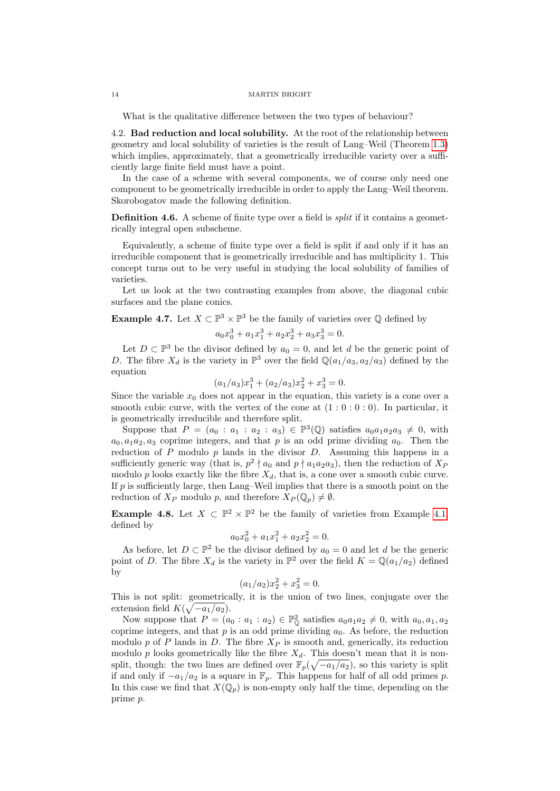What is the qualitative difference between the two types of behaviour?

4.2. Bad reduction and local solubility. At the root of the relationship between geometry and local solubility of varieties is the result of Lang–Weil (Theorem [1.3\)](#page-1-0) which implies, approximately, that a geometrically irreducible variety over a sufficiently large finite field must have a point.

In the case of a scheme with several components, we of course only need one component to be geometrically irreducible in order to apply the Lang–Weil theorem. Skorobogatov made the following definition.

**Definition 4.6.** A scheme of finite type over a field is *split* if it contains a geometrically integral open subscheme.

Equivalently, a scheme of finite type over a field is split if and only if it has an irreducible component that is geometrically irreducible and has multiplicity 1. This concept turns out to be very useful in studying the local solubility of families of varieties.

Let us look at the two contrasting examples from above, the diagonal cubic surfaces and the plane conics.

**Example 4.7.** Let  $X \subset \mathbb{P}^3 \times \mathbb{P}^3$  be the family of varieties over  $\mathbb Q$  defined by

$$
a_0x_0^3 + a_1x_1^3 + a_2x_2^3 + a_3x_3^3 = 0.
$$

Let  $D \subset \mathbb{P}^3$  be the divisor defined by  $a_0 = 0$ , and let d be the generic point of D. The fibre  $X_d$  is the variety in  $\mathbb{P}^3$  over the field  $\mathbb{Q}(a_1/a_3, a_2/a_3)$  defined by the equation

$$
(a_1/a_3)x_1^3 + (a_2/a_3)x_2^2 + x_3^3 = 0.
$$

Since the variable  $x_0$  does not appear in the equation, this variety is a cone over a smooth cubic curve, with the vertex of the cone at  $(1:0:0:0)$ . In particular, it is geometrically irreducible and therefore split.

Suppose that  $P = (a_0 : a_1 : a_2 : a_3) \in \mathbb{P}^3(\mathbb{Q})$  satisfies  $a_0a_1a_2a_3 \neq 0$ , with  $a_0, a_1 a_2, a_3$  coprime integers, and that p is an odd prime dividing  $a_0$ . Then the reduction of P modulo  $p$  lands in the divisor  $D$ . Assuming this happens in a sufficiently generic way (that is,  $p^2 \nmid a_0$  and  $p \nmid a_1 a_2 a_3$ ), then the reduction of  $X_P$ modulo p looks exactly like the fibre  $X_d$ , that is, a cone over a smooth cubic curve. If  $p$  is sufficiently large, then Lang–Weil implies that there is a smooth point on the reduction of  $X_P$  modulo p, and therefore  $X_P(\mathbb{Q}_p) \neq \emptyset$ .

**Example 4.8.** Let  $X \subset \mathbb{P}^2 \times \mathbb{P}^2$  be the family of varieties from Example [4.1,](#page-11-0) defined by

$$
a_0x_0^2 + a_1x_1^2 + a_2x_2^2 = 0.
$$

As before, let  $D \subset \mathbb{P}^2$  be the divisor defined by  $a_0 = 0$  and let d be the generic point of D. The fibre  $X_d$  is the variety in  $\mathbb{P}^2$  over the field  $K = \mathbb{Q}(a_1/a_2)$  defined by

$$
(a_1/a_2)x_2^2 + x_3^2 = 0.
$$

This is not split: geometrically, it is the union of two lines, conjugate over the extension field  $K(\sqrt{-a_1/a_2})$ .

Now suppose that  $P = (a_0 : a_1 : a_2) \in \mathbb{P}^2_{\mathbb{Q}}$  satisfies  $a_0a_1a_2 \neq 0$ , with  $a_0, a_1, a_2$ coprime integers, and that  $p$  is an odd prime dividing  $a_0$ . As before, the reduction modulo p of P lands in D. The fibre  $X_P$  is smooth and, generically, its reduction modulo p looks geometrically like the fibre  $X_d$ . This doesn't mean that it is nonsplit, though: the two lines are defined over  $\mathbb{F}_p(\sqrt{-a_1/a_2})$ , so this variety is split if and only if  $-a_1/a_2$  is a square in  $\mathbb{F}_p$ . This happens for half of all odd primes p. In this case we find that  $X(\mathbb{Q}_n)$  is non-empty only half the time, depending on the prime p.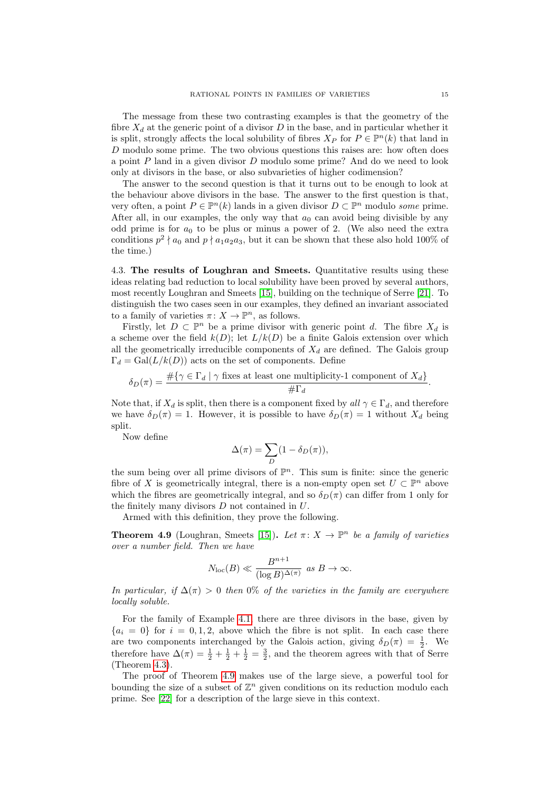The message from these two contrasting examples is that the geometry of the fibre  $X_d$  at the generic point of a divisor D in the base, and in particular whether it is split, strongly affects the local solubility of fibres  $X_P$  for  $P \in \mathbb{P}^n(k)$  that land in D modulo some prime. The two obvious questions this raises are: how often does a point  $P$  land in a given divisor  $D$  modulo some prime? And do we need to look only at divisors in the base, or also subvarieties of higher codimension?

The answer to the second question is that it turns out to be enough to look at the behaviour above divisors in the base. The answer to the first question is that, very often, a point  $P \in \mathbb{P}^n(k)$  lands in a given divisor  $D \subset \mathbb{P}^n$  modulo some prime. After all, in our examples, the only way that  $a_0$  can avoid being divisible by any odd prime is for  $a_0$  to be plus or minus a power of 2. (We also need the extra conditions  $p^2 \nmid a_0$  and  $p \nmid a_1 a_2 a_3$ , but it can be shown that these also hold 100% of the time.)

4.3. The results of Loughran and Smeets. Quantitative results using these ideas relating bad reduction to local solubility have been proved by several authors, most recently Loughran and Smeets [\[15\]](#page-20-17), building on the technique of Serre [\[21\]](#page-20-19). To distinguish the two cases seen in our examples, they defined an invariant associated to a family of varieties  $\pi: X \to \mathbb{P}^n$ , as follows.

Firstly, let  $D \subset \mathbb{P}^n$  be a prime divisor with generic point d. The fibre  $X_d$  is a scheme over the field  $k(D)$ ; let  $L/k(D)$  be a finite Galois extension over which all the geometrically irreducible components of  $X_d$  are defined. The Galois group  $\Gamma_d = \text{Gal}(L/k(D))$  acts on the set of components. Define

$$
\delta_D(\pi) = \frac{\#\{\gamma \in \Gamma_d \mid \gamma \text{ fixes at least one multiplicity-1 component of } X_d\}}{\#\Gamma_d}.
$$

Note that, if  $X_d$  is split, then there is a component fixed by all  $\gamma \in \Gamma_d$ , and therefore we have  $\delta_D(\pi) = 1$ . However, it is possible to have  $\delta_D(\pi) = 1$  without  $X_d$  being split.

Now define

$$
\Delta(\pi) = \sum_D (1 - \delta_D(\pi)),
$$

the sum being over all prime divisors of  $\mathbb{P}^n$ . This sum is finite: since the generic fibre of X is geometrically integral, there is a non-empty open set  $U \subset \mathbb{P}^n$  above which the fibres are geometrically integral, and so  $\delta_D(\pi)$  can differ from 1 only for the finitely many divisors D not contained in U.

Armed with this definition, they prove the following.

<span id="page-14-0"></span>**Theorem 4.9** (Loughran, Smeets [\[15\]](#page-20-17)). Let  $\pi: X \to \mathbb{P}^n$  be a family of varieties over a number field. Then we have

$$
N_{\mathrm{loc}}(B) \ll \frac{B^{n+1}}{(\log B)^{\Delta(\pi)}} \ \text{as} \ B \rightarrow \infty.
$$

In particular, if  $\Delta(\pi) > 0$  then 0% of the varieties in the family are everywhere locally soluble.

For the family of Example [4.1,](#page-11-0) there are three divisors in the base, given by  ${a_i = 0}$  for  $i = 0, 1, 2$ , above which the fibre is not split. In each case there are two components interchanged by the Galois action, giving  $\delta_D(\pi) = \frac{1}{2}$ . We therefore have  $\Delta(\pi) = \frac{1}{2} + \frac{1}{2} + \frac{1}{2} = \frac{3}{2}$ , and the theorem agrees with that of Serre (Theorem [4.3\)](#page-12-0).

The proof of Theorem [4.9](#page-14-0) makes use of the large sieve, a powerful tool for bounding the size of a subset of  $\mathbb{Z}^n$  given conditions on its reduction modulo each prime. See [\[22\]](#page-20-18) for a description of the large sieve in this context.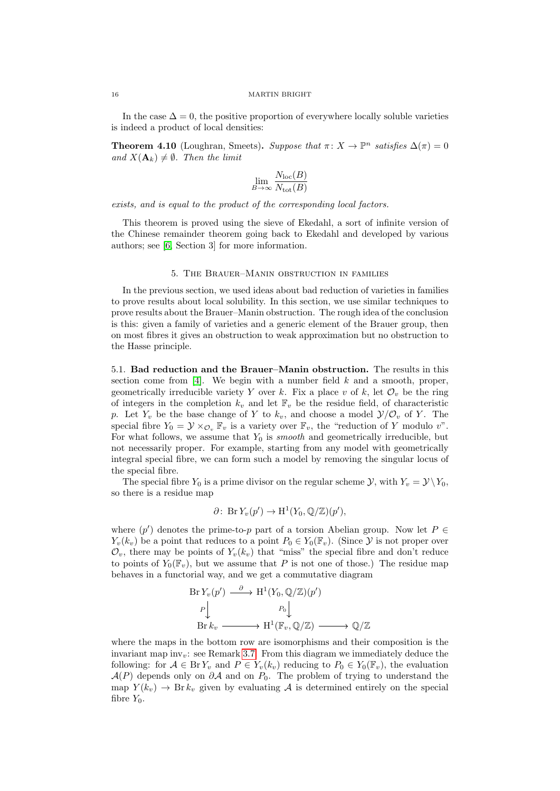In the case  $\Delta = 0$ , the positive proportion of everywhere locally soluble varieties is indeed a product of local densities:

**Theorem 4.10** (Loughran, Smeets). Suppose that  $\pi: X \to \mathbb{P}^n$  satisfies  $\Delta(\pi) = 0$ and  $X(\mathbf{A}_k) \neq \emptyset$ . Then the limit

$$
\lim_{B \to \infty} \frac{N_{\text{loc}}(B)}{N_{\text{tot}}(B)}
$$

exists, and is equal to the product of the corresponding local factors.

This theorem is proved using the sieve of Ekedahl, a sort of infinite version of the Chinese remainder theorem going back to Ekedahl and developed by various authors; see [\[6,](#page-20-20) Section 3] for more information.

# 5. The Brauer–Manin obstruction in families

<span id="page-15-0"></span>In the previous section, we used ideas about bad reduction of varieties in families to prove results about local solubility. In this section, we use similar techniques to prove results about the Brauer–Manin obstruction. The rough idea of the conclusion is this: given a family of varieties and a generic element of the Brauer group, then on most fibres it gives an obstruction to weak approximation but no obstruction to the Hasse principle.

5.1. Bad reduction and the Brauer–Manin obstruction. The results in this section come from [\[4\]](#page-20-22). We begin with a number field  $k$  and a smooth, proper, geometrically irreducible variety Y over k. Fix a place v of k, let  $\mathcal{O}_v$  be the ring of integers in the completion  $k_v$  and let  $\mathbb{F}_v$  be the residue field, of characteristic p. Let  $Y_v$  be the base change of Y to  $k_v$ , and choose a model  $\mathcal{Y}/\mathcal{O}_v$  of Y. The special fibre  $Y_0 = \mathcal{Y} \times_{\mathcal{O}_v} \mathbb{F}_v$  is a variety over  $\mathbb{F}_v$ , the "reduction of Y modulo v". For what follows, we assume that  $Y_0$  is *smooth* and geometrically irreducible, but not necessarily proper. For example, starting from any model with geometrically integral special fibre, we can form such a model by removing the singular locus of the special fibre.

The special fibre  $Y_0$  is a prime divisor on the regular scheme  $\mathcal{Y}$ , with  $Y_v = \mathcal{Y} \setminus Y_0$ . so there is a residue map

$$
\partial\colon \operatorname{Br} Y_v(p') \to \mathrm{H}^1(Y_0, \mathbb{Q}/\mathbb{Z})(p'),
$$

where  $(p')$  denotes the prime-to-p part of a torsion Abelian group. Now let  $P \in$  $Y_v(k_v)$  be a point that reduces to a point  $P_0 \in Y_0(\mathbb{F}_v)$ . (Since  $\mathcal Y$  is not proper over  $\mathcal{O}_v$ , there may be points of  $Y_v(k_v)$  that "miss" the special fibre and don't reduce to points of  $Y_0(\mathbb{F}_v)$ , but we assume that P is not one of those.) The residue map behaves in a functorial way, and we get a commutative diagram

$$
\begin{aligned} \text{Br}\,Y_v(p') & \xrightarrow{\partial} \text{H}^1(Y_0, \mathbb{Q}/\mathbb{Z})(p') \\ p &\downarrow \qquad \qquad P_0 \downarrow \\ \text{Br}\,k_v & \xrightarrow{\qquad \qquad} \text{H}^1(\mathbb{F}_v, \mathbb{Q}/\mathbb{Z}) \xrightarrow{\qquad \qquad} \mathbb{Q}/\mathbb{Z} \end{aligned}
$$

∂

where the maps in the bottom row are isomorphisms and their composition is the invariant map inv<sub>n</sub>: see Remark [3.7.](#page-9-1) From this diagram we immediately deduce the following: for  $A \in \text{Br } Y_v$  and  $P \in Y_v(k_v)$  reducing to  $P_0 \in Y_0(\mathbb{F}_v)$ , the evaluation  $\mathcal{A}(P)$  depends only on  $\partial \mathcal{A}$  and on  $P_0$ . The problem of trying to understand the map  $Y(k_v) \rightarrow \text{Br } k_v$  given by evaluating A is determined entirely on the special fibre  $Y_0$ .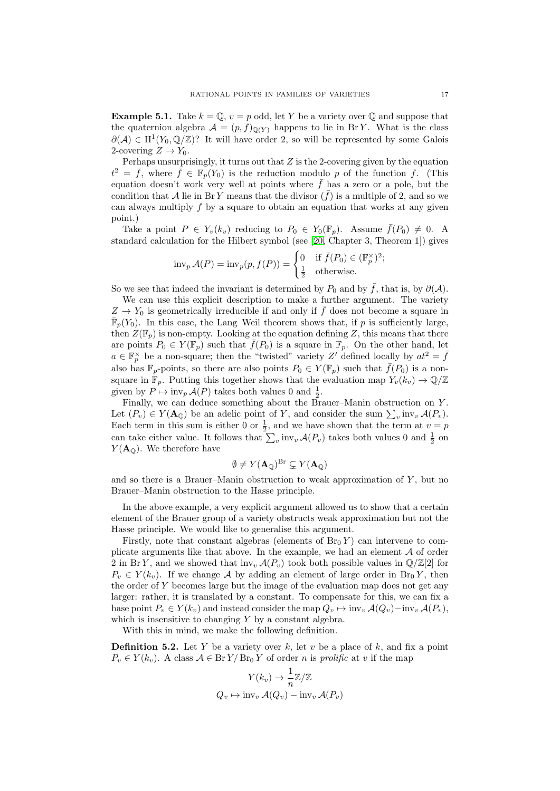<span id="page-16-0"></span>**Example 5.1.** Take  $k = \mathbb{Q}$ ,  $v = p$  odd, let Y be a variety over  $\mathbb{Q}$  and suppose that the quaternion algebra  $\mathcal{A} = (p, f)_{\mathbb{Q}(Y)}$  happens to lie in BrY. What is the class  $\partial(\mathcal{A}) \in H^1(Y_0, \mathbb{Q}/\mathbb{Z})$ ? It will have order 2, so will be represented by some Galois 2-covering  $Z \to Y_0$ .

Perhaps unsurprisingly, it turns out that  $Z$  is the 2-covering given by the equation  $t^2 = \bar{f}$ , where  $\bar{f} \in \mathbb{F}_p(Y_0)$  is the reduction modulo p of the function f. (This equation doesn't work very well at points where  $\bar{f}$  has a zero or a pole, but the condition that A lie in Br Y means that the divisor  $(\bar{f})$  is a multiple of 2, and so we can always multiply  $f$  by a square to obtain an equation that works at any given point.)

Take a point  $P \in Y_v(k_v)$  reducing to  $P_0 \in Y_0(\mathbb{F}_p)$ . Assume  $\bar{f}(P_0) \neq 0$ . A standard calculation for the Hilbert symbol (see [\[20,](#page-20-4) Chapter 3, Theorem 1]) gives

$$
\mathrm{inv}_p \mathcal{A}(P) = \mathrm{inv}_p(p, f(P)) = \begin{cases} 0 & \text{if } \bar{f}(P_0) \in (\mathbb{F}_p^{\times})^2; \\ \frac{1}{2} & \text{otherwise.} \end{cases}
$$

So we see that indeed the invariant is determined by  $P_0$  and by  $\bar{f}$ , that is, by  $\partial(A)$ .

We can use this explicit description to make a further argument. The variety  $Z \to Y_0$  is geometrically irreducible if and only if  $\bar{f}$  does not become a square in  $\bar{\mathbb{F}}_p(Y_0)$ . In this case, the Lang–Weil theorem shows that, if p is sufficiently large, then  $Z(\mathbb{F}_p)$  is non-empty. Looking at the equation defining Z, this means that there are points  $P_0 \in Y(\mathbb{F}_p)$  such that  $\bar{f}(P_0)$  is a square in  $\mathbb{F}_p$ . On the other hand, let  $a \in \mathbb{F}_p^{\times}$  be a non-square; then the "twisted" variety Z' defined locally by  $at^2 = \bar{f}$ also has  $\mathbb{F}_p$ -points, so there are also points  $P_0 \in Y(\mathbb{F}_p)$  such that  $\bar{f}(P_0)$  is a nonsquare in  $\mathbb{F}_p$ . Putting this together shows that the evaluation map  $Y_v(k_v) \to \mathbb{Q}/\mathbb{Z}$ given by  $P \mapsto \text{inv}_p \mathcal{A}(P)$  takes both values 0 and  $\frac{1}{2}$ .

Finally, we can deduce something about the Brauer–Manin obstruction on Y . Let  $(P_v) \in Y(\mathbf{A}_{\mathbb{Q}})$  be an adelic point of Y, and consider the sum  $\sum_{v} \text{inv}_v \mathcal{A}(P_v)$ . Each term in this sum is either 0 or  $\frac{1}{2}$ , and we have shown that the term at  $v = p$ can take either value. It follows that  $\sum_{v}$  inv<sub>v</sub>  $\mathcal{A}(P_v)$  takes both values 0 and  $\frac{1}{2}$  on  $Y(\mathbf{A}_{\mathbb{Q}})$ . We therefore have

$$
\emptyset \neq Y(\mathbf{A}_{\mathbb{Q}})^{\mathrm{Br}} \subsetneq Y(\mathbf{A}_{\mathbb{Q}})
$$

and so there is a Brauer–Manin obstruction to weak approximation of  $Y$ , but no Brauer–Manin obstruction to the Hasse principle.

In the above example, a very explicit argument allowed us to show that a certain element of the Brauer group of a variety obstructs weak approximation but not the Hasse principle. We would like to generalise this argument.

Firstly, note that constant algebras (elements of  $Br_0 Y$ ) can intervene to complicate arguments like that above. In the example, we had an element  $A$  of order 2 in Br Y, and we showed that  $\text{inv}_v \mathcal{A}(P_v)$  took both possible values in  $\mathbb{Q}/\mathbb{Z}[2]$  for  $P_v \in Y(k_v)$ . If we change A by adding an element of large order in Br<sub>0</sub>Y, then the order of Y becomes large but the image of the evaluation map does not get any larger: rather, it is translated by a constant. To compensate for this, we can fix a base point  $P_v \in Y(k_v)$  and instead consider the map  $Q_v \mapsto inv_v \mathcal{A}(Q_v) - inv_v \mathcal{A}(P_v)$ , which is insensitive to changing  $Y$  by a constant algebra.

With this in mind, we make the following definition.

**Definition 5.2.** Let Y be a variety over k, let v be a place of k, and fix a point  $P_v \in Y(k_v)$ . A class  $\mathcal{A} \in \text{Br } Y/\text{Br}_0 Y$  of order n is prolific at v if the map

$$
Y(k_v) \to \frac{1}{n}\mathbb{Z}/\mathbb{Z}
$$

$$
Q_v \mapsto \text{inv}_v \mathcal{A}(Q_v) - \text{inv}_v \mathcal{A}(P_v)
$$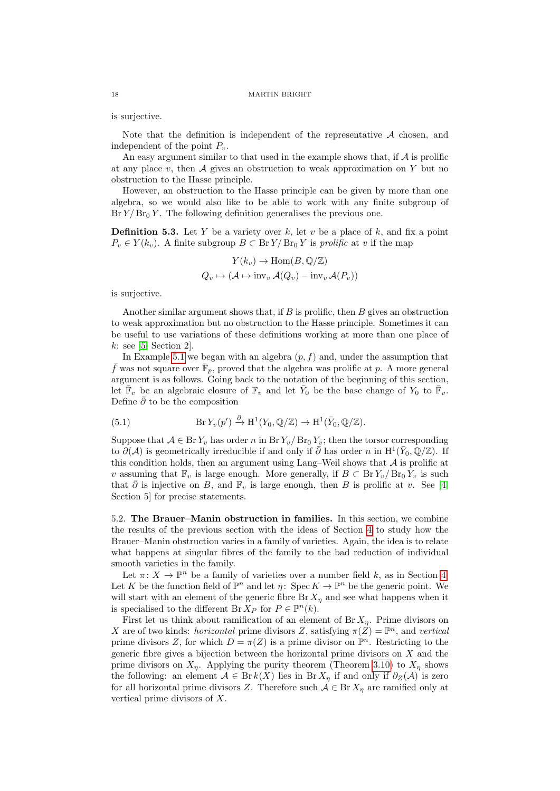is surjective.

Note that the definition is independent of the representative  $A$  chosen, and independent of the point  $P_v$ .

An easy argument similar to that used in the example shows that, if  $A$  is prolific at any place  $v$ , then  $A$  gives an obstruction to weak approximation on  $Y$  but no obstruction to the Hasse principle.

However, an obstruction to the Hasse principle can be given by more than one algebra, so we would also like to be able to work with any finite subgroup of  $Br Y/Br_0 Y$ . The following definition generalises the previous one.

**Definition 5.3.** Let Y be a variety over k, let v be a place of k, and fix a point  $P_v \in Y(k_v)$ . A finite subgroup  $B \subset \mathbb{B}r Y/\mathbb{B}r_0 Y$  is prolific at v if the map

$$
Y(k_v) \to \text{Hom}(B, \mathbb{Q}/\mathbb{Z})
$$
  

$$
Q_v \mapsto (\mathcal{A} \mapsto \text{inv}_v \mathcal{A}(Q_v) - \text{inv}_v \mathcal{A}(P_v))
$$

is surjective.

Another similar argument shows that, if  $B$  is prolific, then  $B$  gives an obstruction to weak approximation but no obstruction to the Hasse principle. Sometimes it can be useful to use variations of these definitions working at more than one place of  $k:$  see [\[5,](#page-20-23) Section 2].

In Example [5.1](#page-16-0) we began with an algebra  $(p, f)$  and, under the assumption that  $\bar{f}$  was not square over  $\bar{\mathbb{F}}_p$ , proved that the algebra was prolific at p. A more general argument is as follows. Going back to the notation of the beginning of this section, let  $\overline{\mathbb{F}}_v$  be an algebraic closure of  $\mathbb{F}_v$  and let  $\overline{Y}_0$  be the base change of  $Y_0$  to  $\overline{\mathbb{F}}_v$ . Define  $\bar{\partial}$  to be the composition

<span id="page-17-0"></span>(5.1) 
$$
\text{Br } Y_v(p') \xrightarrow{\partial} \text{H}^1(Y_0, \mathbb{Q}/\mathbb{Z}) \to \text{H}^1(\bar{Y}_0, \mathbb{Q}/\mathbb{Z}).
$$

Suppose that  $A \in \mathbf{Br} Y_n$  has order n in  $\mathbf{Br} Y_n/\mathbf{Br}_0 Y_n$ ; then the torsor corresponding to  $\partial(\mathcal{A})$  is geometrically irreducible if and only if  $\bar{\partial}$  has order n in H<sup>1</sup>( $\bar{Y}_0$ ,  $\mathbb{Q}/\mathbb{Z}$ ). If this condition holds, then an argument using Lang–Weil shows that  $A$  is prolific at v assuming that  $\mathbb{F}_v$  is large enough. More generally, if  $B \subset \text{Br } Y_v / \text{Br } V_v$  is such that  $\bar{\partial}$  is injective on B, and  $\mathbb{F}_v$  is large enough, then B is prolific at v. See [\[4,](#page-20-22) Section 5] for precise statements.

5.2. The Brauer–Manin obstruction in families. In this section, we combine the results of the previous section with the ideas of Section [4](#page-10-0) to study how the Brauer–Manin obstruction varies in a family of varieties. Again, the idea is to relate what happens at singular fibres of the family to the bad reduction of individual smooth varieties in the family.

Let  $\pi: X \to \mathbb{P}^n$  be a family of varieties over a number field k, as in Section [4.](#page-10-0) Let K be the function field of  $\mathbb{P}^n$  and let  $\eta: \operatorname{Spec} K \to \mathbb{P}^n$  be the generic point. We will start with an element of the generic fibre  $\text{Br } X_\eta$  and see what happens when it is specialised to the different Br  $X_P$  for  $P \in \mathbb{P}^n(k)$ .

First let us think about ramification of an element of Br  $X_{\eta}$ . Prime divisors on X are of two kinds: *horizontal* prime divisors Z, satisfying  $\pi(Z) = \mathbb{P}^n$ , and vertical prime divisors Z, for which  $D = \pi(Z)$  is a prime divisor on  $\mathbb{P}^n$ . Restricting to the generic fibre gives a bijection between the horizontal prime divisors on  $X$  and the prime divisors on  $X_n$ . Applying the purity theorem (Theorem [3.10\)](#page-10-1) to  $X_n$  shows the following: an element  $A \in Br k(X)$  lies in Br  $X_n$  if and only if  $\partial_Z(A)$  is zero for all horizontal prime divisors Z. Therefore such  $A \in \text{Br } X_n$  are ramified only at vertical prime divisors of X.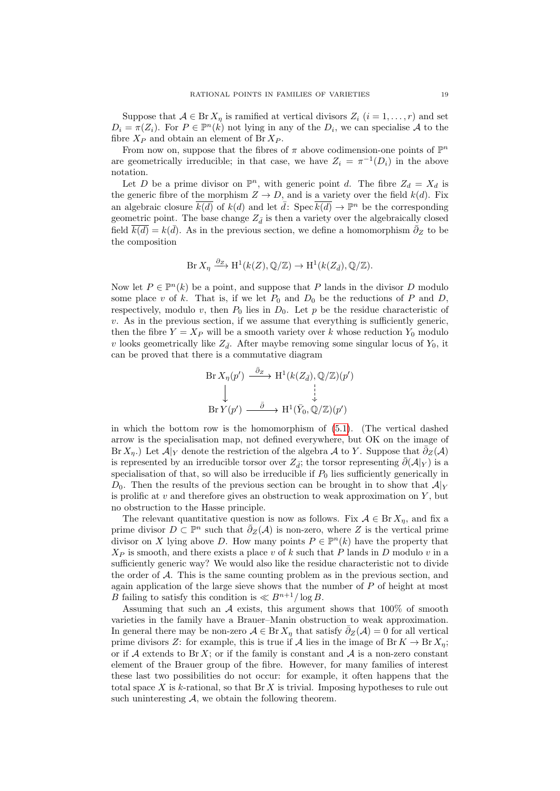Suppose that  $A \in \text{Br } X_\eta$  is ramified at vertical divisors  $Z_i$   $(i = 1, \ldots, r)$  and set  $D_i = \pi(Z_i)$ . For  $P \in \mathbb{P}^n(k)$  not lying in any of the  $D_i$ , we can specialise A to the fibre  $X_P$  and obtain an element of Br  $X_P$ .

From now on, suppose that the fibres of  $\pi$  above codimension-one points of  $\mathbb{P}^n$ are geometrically irreducible; in that case, we have  $Z_i = \pi^{-1}(D_i)$  in the above notation.

Let D be a prime divisor on  $\mathbb{P}^n$ , with generic point d. The fibre  $Z_d = X_d$  is the generic fibre of the morphism  $Z \to D$ , and is a variety over the field  $k(d)$ . Fix an algebraic closure  $\overline{k(d)}$  of  $k(d)$  and let  $\overline{d}$ : Spec  $\overline{k(d)} \to \mathbb{P}^n$  be the corresponding geometric point. The base change  $Z_{\bar{d}}$  is then a variety over the algebraically closed field  $\overline{k(d)} = k(\overline{d})$ . As in the previous section, we define a homomorphism  $\overline{\partial}_Z$  to be the composition

$$
\text{Br } X_{\eta} \xrightarrow{\partial_Z} \text{H}^1(k(Z), \mathbb{Q}/\mathbb{Z}) \to \text{H}^1(k(Z_{\bar{d}}), \mathbb{Q}/\mathbb{Z}).
$$

Now let  $P \in \mathbb{P}^n(k)$  be a point, and suppose that P lands in the divisor D modulo some place v of k. That is, if we let  $P_0$  and  $D_0$  be the reductions of P and D, respectively, modulo v, then  $P_0$  lies in  $D_0$ . Let p be the residue characteristic of  $v$ . As in the previous section, if we assume that everything is sufficiently generic, then the fibre  $Y = X_P$  will be a smooth variety over k whose reduction  $Y_0$  modulo v looks geometrically like  $Z_{\bar{d}}$ . After maybe removing some singular locus of  $Y_0$ , it can be proved that there is a commutative diagram

$$
\begin{array}{ccc}\n\text{Br}\,X_{\eta}(p') & \xrightarrow{\bar{\partial}_Z} & H^1(k(Z_{\bar{d}}),\mathbb{Q}/\mathbb{Z})(p') \\
\downarrow & & \downarrow \\
\text{Br}\,Y(p') & \xrightarrow{\bar{\partial}} & H^1(\bar{Y}_0,\mathbb{Q}/\mathbb{Z})(p')\n\end{array}
$$

in which the bottom row is the homomorphism of [\(5.1\)](#page-17-0). (The vertical dashed arrow is the specialisation map, not defined everywhere, but OK on the image of Br  $X_{\eta}$ .) Let  $\mathcal{A}|_Y$  denote the restriction of the algebra  $\mathcal{A}$  to Y. Suppose that  $\bar{\partial}_Z(\mathcal{A})$ is represented by an irreducible torsor over  $Z_{\vec{d}}$ ; the torsor representing  $\bar{\partial}(\mathcal{A}|_Y)$  is a specialisation of that, so will also be irreducible if  $P_0$  lies sufficiently generically in  $D_0$ . Then the results of the previous section can be brought in to show that  $\mathcal{A}|_Y$ is prolific at  $v$  and therefore gives an obstruction to weak approximation on  $Y$ , but no obstruction to the Hasse principle.

The relevant quantitative question is now as follows. Fix  $A \in \text{Br } X_n$ , and fix a prime divisor  $D \subset \mathbb{P}^n$  such that  $\bar{\partial}_Z(\mathcal{A})$  is non-zero, where Z is the vertical prime divisor on X lying above D. How many points  $P \in \mathbb{P}^n(k)$  have the property that  $X_P$  is smooth, and there exists a place v of k such that P lands in D modulo v in a sufficiently generic way? We would also like the residue characteristic not to divide the order of A. This is the same counting problem as in the previous section, and again application of the large sieve shows that the number of  $P$  of height at most B failing to satisfy this condition is  $\ll B^{n+1}/\log B$ .

Assuming that such an  $A$  exists, this argument shows that 100% of smooth varieties in the family have a Brauer–Manin obstruction to weak approximation. In general there may be non-zero  $A \in \text{Br } X_\eta$  that satisfy  $\bar{\partial}_Z(A) = 0$  for all vertical prime divisors Z: for example, this is true if A lies in the image of Br  $K \to \text{Br } X_n$ ; or if A extends to Br X; or if the family is constant and A is a non-zero constant element of the Brauer group of the fibre. However, for many families of interest these last two possibilities do not occur: for example, it often happens that the total space X is k-rational, so that  $\text{Br } X$  is trivial. Imposing hypotheses to rule out such uninteresting  $A$ , we obtain the following theorem.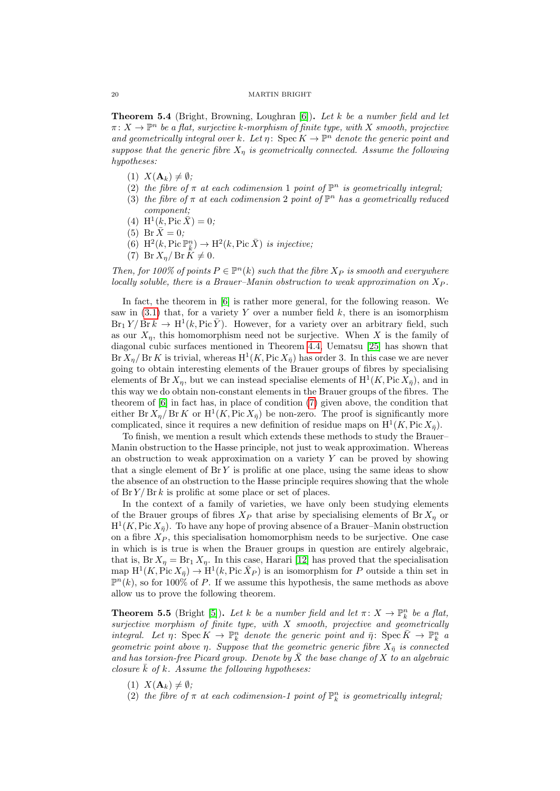Theorem 5.4 (Bright, Browning, Loughran [\[6\]](#page-20-20)). Let k be a number field and let  $\pi \colon X \to \mathbb{P}^n$  be a flat, surjective k-morphism of finite type, with X smooth, projective and geometrically integral over k. Let  $\eta: \operatorname{Spec} K \to \mathbb{P}^n$  denote the generic point and suppose that the generic fibre  $X_n$  is geometrically connected. Assume the following hypotheses:

- $(1)$   $X(\mathbf{A}_k) \neq \emptyset;$
- (2) the fibre of  $\pi$  at each codimension 1 point of  $\mathbb{P}^n$  is geometrically integral;
- (3) the fibre of  $\pi$  at each codimension 2 point of  $\mathbb{P}^n$  has a geometrically reduced component;
- (4)  $H^1(k, Pic \overline{X}) = 0;$
- (5) Br  $\bar{X} = 0$ ;
- (6)  $\text{H}^2(k, \text{Pic } \mathbb{P}^n_{\bar{k}}) \to \text{H}^2(k, \text{Pic } \bar{X})$  is injective;
- (7) Br  $X_n$  / Br  $\ddot{K} \neq 0$ .

<span id="page-19-0"></span>Then, for 100% of points  $P \in \mathbb{P}^n(k)$  such that the fibre  $X_P$  is smooth and everywhere locally soluble, there is a Brauer–Manin obstruction to weak approximation on  $X_P$ .

In fact, the theorem in  $[6]$  is rather more general, for the following reason. We saw in  $(3.1)$  that, for a variety Y over a number field k, there is an isomorphism  $Br_1 Y / Br k \rightarrow H^1(k, Pic \overline{Y})$ . However, for a variety over an arbitrary field, such as our  $X_n$ , this homomorphism need not be surjective. When X is the family of diagonal cubic surfaces mentioned in Theorem [4.4,](#page-12-1) Uematsu [\[25\]](#page-21-0) has shown that Br  $X_{\eta}$  Br K is trivial, whereas  $H^1(K, \text{Pic } X_{\overline{\eta}})$  has order 3. In this case we are never going to obtain interesting elements of the Brauer groups of fibres by specialising elements of Br  $X_{\eta}$ , but we can instead specialise elements of  $H^1(K, \text{Pic } X_{\bar{\eta}})$ , and in this way we do obtain non-constant elements in the Brauer groups of the fibres. The theorem of [\[6\]](#page-20-20) in fact has, in place of condition [\(7\)](#page-19-0) given above, the condition that either Br  $X_{\eta}$  Br K or  $\mathrm{H}^1(K, \mathrm{Pic} X_{\overline{\eta}})$  be non-zero. The proof is significantly more complicated, since it requires a new definition of residue maps on  $\mathrm{H}^1(K, \mathrm{Pic} X_{\bar{\eta}})$ .

To finish, we mention a result which extends these methods to study the Brauer– Manin obstruction to the Hasse principle, not just to weak approximation. Whereas an obstruction to weak approximation on a variety  $Y$  can be proved by showing that a single element of  $\text{Br } Y$  is prolific at one place, using the same ideas to show the absence of an obstruction to the Hasse principle requires showing that the whole of  $\text{Br } Y / \text{Br } k$  is prolific at some place or set of places.

In the context of a family of varieties, we have only been studying elements of the Brauer groups of fibres  $X_P$  that arise by specialising elements of Br  $X_n$  or  $H^1(K, \text{Pic } X_{\bar{\eta}})$ . To have any hope of proving absence of a Brauer–Manin obstruction on a fibre  $X_P$ , this specialisation homomorphism needs to be surjective. One case in which is is true is when the Brauer groups in question are entirely algebraic, that is, Br  $X_n = Br_1 X_n$ . In this case, Harari [\[12\]](#page-20-24) has proved that the specialisation map  $H^1(K, \text{Pic } X_{\bar{\eta}}) \to H^1(k, \text{Pic } \bar{X}_P)$  is an isomorphism for P outside a thin set in  $\mathbb{P}^n(k)$ , so for 100% of P. If we assume this hypothesis, the same methods as above allow us to prove the following theorem.

**Theorem 5.5** (Bright [\[5\]](#page-20-23)). Let k be a number field and let  $\pi: X \to \mathbb{P}_k^n$  be a flat, surjective morphism of finite type, with  $X$  smooth, projective and geometrically integral. Let  $\eta\colon \operatorname{Spec} K \to \mathbb{P}^n_k$  denote the generic point and  $\bar{\eta}\colon \operatorname{Spec} \bar{K} \to \mathbb{P}^n_k$  a geometric point above  $\eta$ . Suppose that the geometric generic fibre  $X_{\bar{\eta}}$  is connected and has torsion-free Picard group. Denote by  $\bar{X}$  the base change of X to an algebraic closure  $\overline{k}$  of  $k$ . Assume the following hypotheses:

- (1)  $X(\mathbf{A}_k) \neq \emptyset$ ;
- (2) the fibre of  $\pi$  at each codimension-1 point of  $\mathbb{P}^n_k$  is geometrically integral,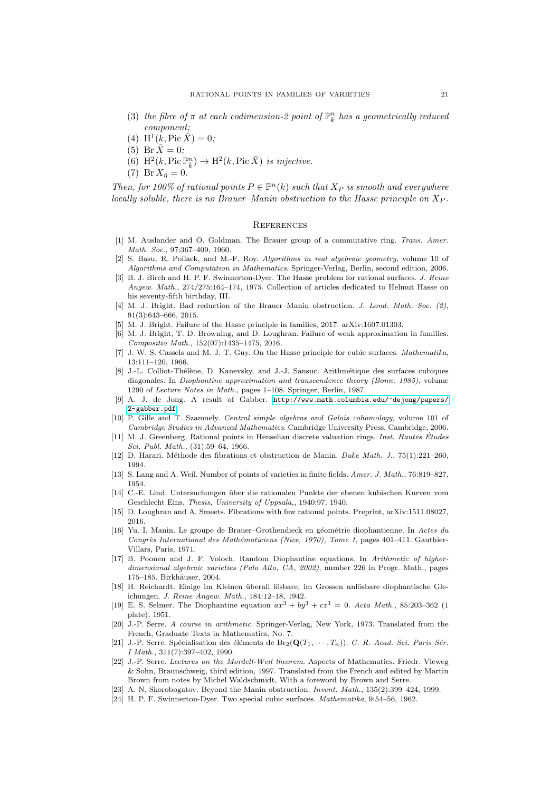- (3) the fibre of  $\pi$  at each codimension-2 point of  $\mathbb{P}^n_k$  has a geometrically reduced component;
- (4)  $H^1(k, Pic \overline{X}) = 0;$
- (5) Br  $\bar{X} = 0$ ;
- (6)  $\text{H}^2(k, \text{Pic } \mathbb{P}^n_{\bar{k}}) \to \text{H}^2(k, \text{Pic } \bar{X})$  is injective.
- (7) Br  $X_{\bar{\eta}}=0$ .

Then, for 100% of rational points  $P \in \mathbb{P}^n(k)$  such that  $X_P$  is smooth and everywhere locally soluble, there is no Brauer–Manin obstruction to the Hasse principle on  $X_P$ .

# <span id="page-20-0"></span>**REFERENCES**

- <span id="page-20-15"></span>[1] M. Auslander and O. Goldman. The Brauer group of a commutative ring. Trans. Amer. Math. Soc., 97:367–409, 1960.
- <span id="page-20-2"></span>[2] S. Basu, R. Pollack, and M.-F. Roy. Algorithms in real algebraic geometry, volume 10 of Algorithms and Computation in Mathematics. Springer-Verlag, Berlin, second edition, 2006.
- <span id="page-20-10"></span>[3] B. J. Birch and H. P. F. Swinnerton-Dyer. The Hasse problem for rational surfaces. J. Reine Angew. Math., 274/275:164–174, 1975. Collection of articles dedicated to Helmut Hasse on his seventy-fifth birthday, III.
- <span id="page-20-22"></span>[4] M. J. Bright. Bad reduction of the Brauer–Manin obstruction. J. Lond. Math. Soc. (2), 91(3):643–666, 2015.
- <span id="page-20-23"></span>[5] M. J. Bright. Failure of the Hasse principle in families, 2017. arXiv:1607.01303.
- <span id="page-20-20"></span>[6] M. J. Bright, T. D. Browning, and D. Loughran. Failure of weak approximation in families. Compositio Math., 152(07):1435–1475, 2016.
- <span id="page-20-9"></span>J. W. S. Cassels and M. J. T. Guy. On the Hasse principle for cubic surfaces. Mathematika, 13:111–120, 1966.
- <span id="page-20-12"></span>[8] J.-L. Colliot-Thélène, D. Kanevsky, and J.-J. Sansuc. Arithmétique des surfaces cubiques diagonales. In Diophantine approximation and transcendence theory (Bonn, 1985), volume 1290 of Lecture Notes in Math., pages 1–108. Springer, Berlin, 1987.
- <span id="page-20-16"></span>[9] A. J. de Jong. A result of Gabber. [http://www.math.columbia.edu/~dejong/papers/](http://www.math.columbia.edu/~dejong/papers/2-gabber.pdf) [2-gabber.pdf](http://www.math.columbia.edu/~dejong/papers/2-gabber.pdf).
- <span id="page-20-14"></span>[10] P. Gille and T. Szamuely. Central simple algebras and Galois cohomology, volume 101 of Cambridge Studies in Advanced Mathematics. Cambridge University Press, Cambridge, 2006.
- <span id="page-20-1"></span>[11] M. J. Greenberg. Rational points in Henselian discrete valuation rings. Inst. Hautes Études Sci. Publ. Math., (31):59–64, 1966.
- <span id="page-20-24"></span>[12] D. Harari. M´ethode des fibrations et obstruction de Manin. Duke Math. J., 75(1):221–260, 1994.
- <span id="page-20-3"></span>[13] S. Lang and A. Weil. Number of points of varieties in finite fields. Amer. J. Math., 76:819–827, 1954.
- <span id="page-20-5"></span>[14] C.-E. Lind. Untersuchungen ¨uber die rationalen Punkte der ebenen kubischen Kurven vom Geschlecht Eins. Thesis, University of Uppsala,, 1940:97, 1940.
- <span id="page-20-17"></span>[15] D. Loughran and A. Smeets. Fibrations with few rational points. Preprint, arXiv:1511.08027, 2016.
- <span id="page-20-11"></span>[16] Yu. I. Manin. Le groupe de Brauer–Grothendieck en géométrie diophantienne. In Actes du Congrès International des Mathématiciens (Nice, 1970), Tome 1, pages 401-411. Gauthier-Villars, Paris, 1971.
- <span id="page-20-21"></span>[17] B. Poonen and J. F. Voloch. Random Diophantine equations. In Arithmetic of higherdimensional algebraic varieties (Palo Alto, CA, 2002), number 226 in Progr. Math., pages 175–185. Birkhäuser, 2004.
- <span id="page-20-6"></span>[18] H. Reichardt. Einige im Kleinen überall lösbare, im Grossen unlösbare diophantische Gleichungen. J. Reine Angew. Math., 184:12–18, 1942.
- <span id="page-20-7"></span>[19] E. S. Selmer. The Diophantine equation  $ax^{3} + by^{3} + cz^{3} = 0$ . Acta Math., 85:203-362 (1 plate), 1951.
- <span id="page-20-4"></span>[20] J.-P. Serre. A course in arithmetic. Springer-Verlag, New York, 1973. Translated from the French, Graduate Texts in Mathematics, No. 7.
- <span id="page-20-19"></span>[21] J.-P. Serre. Spécialisation des éléments de Br<sub>2</sub>( $\mathbf{Q}(T_1, \dots, T_n)$ ). C. R. Acad. Sci. Paris Sér. I Math., 311(7):397–402, 1990.
- <span id="page-20-18"></span>[22] J.-P. Serre. Lectures on the Mordell-Weil theorem. Aspects of Mathematics. Friedr. Vieweg & Sohn, Braunschweig, third edition, 1997. Translated from the French and edited by Martin Brown from notes by Michel Waldschmidt, With a foreword by Brown and Serre.
- <span id="page-20-13"></span>[23] A. N. Skorobogatov. Beyond the Manin obstruction. Invent. Math., 135(2):399–424, 1999.
- <span id="page-20-8"></span>[24] H. P. F. Swinnerton-Dyer. Two special cubic surfaces. Mathematika, 9:54–56, 1962.